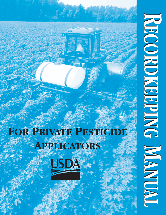# **FOR PRIVATE PESTICIDE APPLICATORS** USDA

**RECORDKEEPING ECORDKEEPING RECORDKEEPING DNIGERION CELLE MANUAL MANUAL**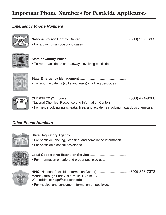### **Important Phone Numbers for Pesticide Applicators**

#### *Emergency Phone Numbers*



- **National Poison Control Center**..................................................... (800) 222-1222 • For aid in human poisoning cases.
- 
- **State or County Police**.................................................................... • To report accidents on roadways involving pesticides.



| • To report accidents (spills and leaks) involving pesticides. |  |
|----------------------------------------------------------------|--|



| (National Chemical Response and Information Center) |  |
|-----------------------------------------------------|--|
|                                                     |  |

• For help involving spills, leaks, fires, and accidents involving hazardous chemicals.

#### *Other Phone Numbers*



#### **State Regulatory Agency** ...............................................................

- For pesticide labeling, licensing, and compliance information.
- For pesticide disposal assistance.



**Local Cooperative Extension Service** ...........................................

• For information on safe and proper pesticide use.



**NPIC** (National Pesticide Information Center) .................................. (800) 858-7378 Monday through Friday. 8 a.m. until 6 p.m., CT. Web address: **<http://npic.orst.edu>**

• For medical and consumer information on pesticides.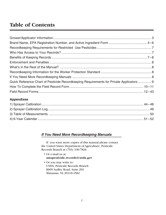## **Table of Contents**

| Quick Reference Chart of Pesticide Recordkeeping Requirements for Private Applicators  9 |  |
|------------------------------------------------------------------------------------------|--|
|                                                                                          |  |
|                                                                                          |  |

#### **Appendixes**

#### *If You Need More Recordkeeping Manuals*

If you want more copies of this manual please contact the United States Department of Agriculture, Pesticide Records Branch at (703) 330-7826.

- Or e-mail us at: **amspesticide.records@usda.gov**
- Or you may write to: USDA, Pesticide Records Branch 8609 Sudley Road, Suite 203 Manassas, VA 20110-4582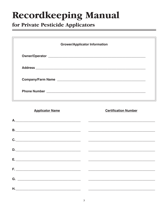## **Recordkeeping Manual**

## for Private Pesticide Applicators

#### **Applicator Name**

**Certification Number** 

|  |  | C. |
|--|--|----|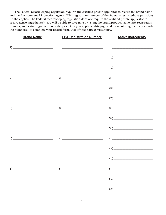The Federal recordkeeping regulation requires the certified private applicator to record the brand name and the Environmental Protection Agency (EPA) registration number of the federally restricted-use pesticides he/she applies. The Federal recordkeeping regulation does not require the certified private applicator to record active ingredient(s). You will be able to save time by listing the brand/product name, EPA registration number, and active ingredient(s) of the pesticides you apply on this page and then entering the corresponding number(s) to complete your record form. **Use of this page is voluntary.**

| <b>Brand Name</b>                                                                                                                                                                                                                                                                                                                                                                                                                                                              | <b>EPA Registration Number 4 Active Ingredients</b>                                                                                                                                                                                                                                                                                                                                                                                                                                                                   |                                                                                                                                                                                                                                                                                                                                                                                                                           |
|--------------------------------------------------------------------------------------------------------------------------------------------------------------------------------------------------------------------------------------------------------------------------------------------------------------------------------------------------------------------------------------------------------------------------------------------------------------------------------|-----------------------------------------------------------------------------------------------------------------------------------------------------------------------------------------------------------------------------------------------------------------------------------------------------------------------------------------------------------------------------------------------------------------------------------------------------------------------------------------------------------------------|---------------------------------------------------------------------------------------------------------------------------------------------------------------------------------------------------------------------------------------------------------------------------------------------------------------------------------------------------------------------------------------------------------------------------|
|                                                                                                                                                                                                                                                                                                                                                                                                                                                                                |                                                                                                                                                                                                                                                                                                                                                                                                                                                                                                                       | $\begin{picture}(20,10)(-10,-10) \put(0,0){\line(1,0){10}} \put(10,0){\line(1,0){10}} \put(10,0){\line(1,0){10}} \put(10,0){\line(1,0){10}} \put(10,0){\line(1,0){10}} \put(10,0){\line(1,0){10}} \put(10,0){\line(1,0){10}} \put(10,0){\line(1,0){10}} \put(10,0){\line(1,0){10}} \put(10,0){\line(1,0){10}} \put(10,0){\line(1,0){10}} \put(10$                                                                         |
|                                                                                                                                                                                                                                                                                                                                                                                                                                                                                |                                                                                                                                                                                                                                                                                                                                                                                                                                                                                                                       |                                                                                                                                                                                                                                                                                                                                                                                                                           |
|                                                                                                                                                                                                                                                                                                                                                                                                                                                                                |                                                                                                                                                                                                                                                                                                                                                                                                                                                                                                                       | $1b) \underline{\hspace{2cm} \underbrace{\qquad \qquad }$                                                                                                                                                                                                                                                                                                                                                                 |
|                                                                                                                                                                                                                                                                                                                                                                                                                                                                                | $2) \underline{\hspace{2cm} 2) \underline{\hspace{2cm} 2) \underline{\hspace{2cm} 2) \underline{\hspace{2cm} 2) \underline{\hspace{2cm} 2) \underline{\hspace{2cm} 2) \underline{\hspace{2cm} 2) \underline{\hspace{2cm} 2) \underline{\hspace{2cm} 2) \underline{\hspace{2cm} 2) \underline{\hspace{2cm} 2) \underline{\hspace{2cm} 2) \underline{\hspace{2cm} 2) \underline{\hspace{2cm} 2) \underline{\hspace{2cm} 2) \underline{\hspace{2cm} 2) \underline{\hspace{2cm} 2) \underline{\hspace{2cm} 2) \underline$ | $2) \underline{\hspace{2cm}}$                                                                                                                                                                                                                                                                                                                                                                                             |
|                                                                                                                                                                                                                                                                                                                                                                                                                                                                                |                                                                                                                                                                                                                                                                                                                                                                                                                                                                                                                       |                                                                                                                                                                                                                                                                                                                                                                                                                           |
|                                                                                                                                                                                                                                                                                                                                                                                                                                                                                |                                                                                                                                                                                                                                                                                                                                                                                                                                                                                                                       |                                                                                                                                                                                                                                                                                                                                                                                                                           |
|                                                                                                                                                                                                                                                                                                                                                                                                                                                                                | $3)$ 3)                                                                                                                                                                                                                                                                                                                                                                                                                                                                                                               | $\begin{tabular}{c} 3) \end{tabular}$                                                                                                                                                                                                                                                                                                                                                                                     |
|                                                                                                                                                                                                                                                                                                                                                                                                                                                                                |                                                                                                                                                                                                                                                                                                                                                                                                                                                                                                                       |                                                                                                                                                                                                                                                                                                                                                                                                                           |
|                                                                                                                                                                                                                                                                                                                                                                                                                                                                                |                                                                                                                                                                                                                                                                                                                                                                                                                                                                                                                       |                                                                                                                                                                                                                                                                                                                                                                                                                           |
|                                                                                                                                                                                                                                                                                                                                                                                                                                                                                | $4)$ (4)                                                                                                                                                                                                                                                                                                                                                                                                                                                                                                              | $\left( \begin{array}{ccc} 4 \end{array} \right)$                                                                                                                                                                                                                                                                                                                                                                         |
|                                                                                                                                                                                                                                                                                                                                                                                                                                                                                |                                                                                                                                                                                                                                                                                                                                                                                                                                                                                                                       | $\mathsf{4a) \!\!\!\!\!\!\perp\!\!\!\!\perp\!\!\!\!\perp\!\!\!\!\perp\!\!\!\!\perp\!\!\!\!\perp\!\!\!\!\perp\!\!\!\!\perp\!\!\!\!\perp\!\!\!\!\perp\!\!\!\!\perp\!\!\!\!\perp\!\!\!\!\perp\!\!\!\!\perp\!\!\!\!\perp\!\!\!\!\perp\!\!\!\!\perp\!\!\!\!\perp\!\!\!\!\perp\!\!\!\!\perp\!\!\!\!\perp\!\!\!\!\perp\!\!\!\!\perp\!\!\!\!\perp\!\!\!\!\perp\!\!\!\!\perp\!\!\!\!\perp\!\!\!\!\perp\!\!\!\!\perp\!\!\!\!\perp\$ |
|                                                                                                                                                                                                                                                                                                                                                                                                                                                                                |                                                                                                                                                                                                                                                                                                                                                                                                                                                                                                                       |                                                                                                                                                                                                                                                                                                                                                                                                                           |
| $\mathsf{5)} \hspace*{20mm} \overbrace{\qquad \qquad }^{5} \hspace*{20mm} \overbrace{\qquad \qquad }^{5} \hspace*{20mm} \overbrace{\qquad \qquad }^{5} \hspace*{20mm} \overbrace{\qquad \qquad }^{5} \hspace*{20mm} \overbrace{\qquad \qquad }^{5} \hspace*{20mm} \overbrace{\qquad \qquad }^{5} \hspace*{20mm} \overbrace{\qquad \qquad }^{5} \hspace*{20mm} \overbrace{\qquad \qquad }^{5} \hspace*{20mm} \overbrace{\qquad \qquad }^{5} \hspace*{20mm} \overbrace{\qquad \$ | $\begin{tabular}{ c c c c } \hline 5) & \quad \quad & \quad \quad & \quad \quad \\ \hline \end{tabular}$                                                                                                                                                                                                                                                                                                                                                                                                              |                                                                                                                                                                                                                                                                                                                                                                                                                           |
|                                                                                                                                                                                                                                                                                                                                                                                                                                                                                |                                                                                                                                                                                                                                                                                                                                                                                                                                                                                                                       |                                                                                                                                                                                                                                                                                                                                                                                                                           |
|                                                                                                                                                                                                                                                                                                                                                                                                                                                                                |                                                                                                                                                                                                                                                                                                                                                                                                                                                                                                                       |                                                                                                                                                                                                                                                                                                                                                                                                                           |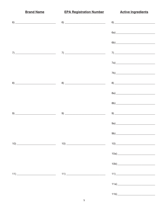| <b>Brand Name</b> | <b>EPA Registration Number 4 Active Ingredients</b>                                                                                                                                                                                                                                                                                                            |                                                                                                                                                                                                                                                                                                                                                                                                                                                                                                                                                   |
|-------------------|----------------------------------------------------------------------------------------------------------------------------------------------------------------------------------------------------------------------------------------------------------------------------------------------------------------------------------------------------------------|---------------------------------------------------------------------------------------------------------------------------------------------------------------------------------------------------------------------------------------------------------------------------------------------------------------------------------------------------------------------------------------------------------------------------------------------------------------------------------------------------------------------------------------------------|
|                   |                                                                                                                                                                                                                                                                                                                                                                | $6) \underline{\hspace{2cm} \quad \  \  } \qquad \qquad \  \  } \underline{\hspace{2cm} \quad \  \  } \qquad \qquad \  \  } \underline{\hspace{2cm} \quad \  } \qquad \qquad \  \  } \underline{\hspace{2cm} \quad \  } \underline{\hspace{2cm} \quad \  } \qquad \qquad \  \  } \underline{\hspace{2cm} \quad \  } \underline{\hspace{2cm} \quad \  } \underline{\hspace{2cm} \quad \  } \underline{\hspace{2cm} \quad \  } \underline{\hspace{2cm} \quad \  } \underline{\hspace{2cm} \quad \  } \underline{\hspace{2cm} \quad \  } \underline$ |
|                   |                                                                                                                                                                                                                                                                                                                                                                |                                                                                                                                                                                                                                                                                                                                                                                                                                                                                                                                                   |
|                   |                                                                                                                                                                                                                                                                                                                                                                |                                                                                                                                                                                                                                                                                                                                                                                                                                                                                                                                                   |
|                   | $7) \underline{\hspace{1.5cm}7) \hspace{1.5cm}1.5cm}$                                                                                                                                                                                                                                                                                                          | $\begin{picture}(20,10) \put(0,0){\dashbox{0.5}(5,0){ }} \put(15,0){\circle{1}} \put(15,0){\circle{1}} \put(15,0){\circle{1}} \put(15,0){\circle{1}} \put(15,0){\circle{1}} \put(15,0){\circle{1}} \put(15,0){\circle{1}} \put(15,0){\circle{1}} \put(15,0){\circle{1}} \put(15,0){\circle{1}} \put(15,0){\circle{1}} \put(15,0){\circle{1}} \put(15,0){\circle{1}} \put(15,0){\circle{1}} \put(15,0$                                                                                                                                             |
|                   |                                                                                                                                                                                                                                                                                                                                                                |                                                                                                                                                                                                                                                                                                                                                                                                                                                                                                                                                   |
|                   |                                                                                                                                                                                                                                                                                                                                                                |                                                                                                                                                                                                                                                                                                                                                                                                                                                                                                                                                   |
|                   | $8) \begin{tabular}{@{}c@{}} \hline \rule{0.2cm}{0.2cm} \rule{0.2cm}{0.2cm} \rule{0.2cm}{0.2cm} \rule{0.2cm}{0.2cm} \rule{0.2cm}{0.2cm} \rule{0.2cm}{0.2cm} \rule{0.2cm}{0.2cm} \rule{0.2cm}{0.2cm} \rule{0.2cm}{0.2cm} \rule{0.2cm}{0.2cm} \rule{0.2cm}{0.2cm} \rule{0.2cm}{0.2cm} \rule{0.2cm}{0.2cm} \rule{0.2cm}{0.2cm} \rule{0.2cm}{0.2cm} \rule{0.2cm}{$ | $8) \begin{tabular}{@{}c@{}} \hline \multicolumn{3}{c }{\textbf{8}} & \multicolumn{3}{c }{\textbf{8}} \\ \multicolumn{3}{c }{\textbf{9}} & \multicolumn{3}{c }{\textbf{9}} \\ \multicolumn{3}{c }{\textbf{10}} & \multicolumn{3}{c }{\textbf{11}} \\ \multicolumn{3}{c }{\textbf{12}} & \multicolumn{3}{c }{\textbf{13}} \\ \multicolumn{3}{c }{\textbf{14}} & \multicolumn{3}{c }{\textbf{15}} \\ \multicolumn{3}{c }{\textbf{16}} & \multicolumn{3}{c $                                                                                         |
|                   |                                                                                                                                                                                                                                                                                                                                                                |                                                                                                                                                                                                                                                                                                                                                                                                                                                                                                                                                   |
|                   |                                                                                                                                                                                                                                                                                                                                                                |                                                                                                                                                                                                                                                                                                                                                                                                                                                                                                                                                   |
|                   | $9)$ 9)                                                                                                                                                                                                                                                                                                                                                        | $9) \begin{tabular}{@{}c@{}} \hline \rule{0.2cm}{0.2cm} \rule{0.2cm}{0.2cm} \rule{0.2cm}{0.2cm} \rule{0.2cm}{0.2cm} \rule{0.2cm}{0.2cm} \rule{0.2cm}{0.2cm} \rule{0.2cm}{0.2cm} \rule{0.2cm}{0.2cm} \rule{0.2cm}{0.2cm} \rule{0.2cm}{0.2cm} \rule{0.2cm}{0.2cm} \rule{0.2cm}{0.2cm} \rule{0.2cm}{0.2cm} \rule{0.2cm}{0.2cm} \rule{0.2cm}{0.2cm} \rule{0.2cm}{$                                                                                                                                                                                    |
|                   |                                                                                                                                                                                                                                                                                                                                                                |                                                                                                                                                                                                                                                                                                                                                                                                                                                                                                                                                   |
|                   |                                                                                                                                                                                                                                                                                                                                                                |                                                                                                                                                                                                                                                                                                                                                                                                                                                                                                                                                   |
|                   |                                                                                                                                                                                                                                                                                                                                                                |                                                                                                                                                                                                                                                                                                                                                                                                                                                                                                                                                   |
|                   |                                                                                                                                                                                                                                                                                                                                                                |                                                                                                                                                                                                                                                                                                                                                                                                                                                                                                                                                   |
|                   |                                                                                                                                                                                                                                                                                                                                                                |                                                                                                                                                                                                                                                                                                                                                                                                                                                                                                                                                   |
|                   |                                                                                                                                                                                                                                                                                                                                                                |                                                                                                                                                                                                                                                                                                                                                                                                                                                                                                                                                   |
|                   |                                                                                                                                                                                                                                                                                                                                                                |                                                                                                                                                                                                                                                                                                                                                                                                                                                                                                                                                   |
|                   |                                                                                                                                                                                                                                                                                                                                                                | $11b) \qquad \qquad \overbrace{\qquad \qquad }$                                                                                                                                                                                                                                                                                                                                                                                                                                                                                                   |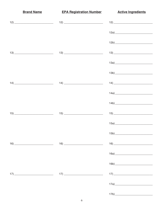**Brand Name EPA Registration Number Active Ingredients**  $12a)$  $13)$  $13)$  $14)$  $14)$  $14)$  $14a)$  $14b)$  $15b)$  $16a)$  $17) \qquad \qquad \overbrace{\qquad \qquad }$  $17a$ )  $17b)$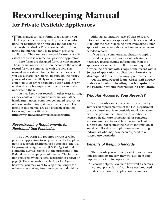## **Recordkeeping Manual**

**for Private Pesticide Applicators**

This manual contains forms that will help you  $\blacksquare$  keep the records required by Federal regulations for restricted use pesticides and for compliance with the Worker Protection Standard. These forms are intended for use by private pesticide applicators. They are not intended for use by applicators licensed as commercial pesticide applicators.

These forms are designed for your convenience. The information you write here becomes the official record for your compliance with the law. This manual was designed for use in the field or office. If you use a sharp, dark pencil to write on the forms, your marks are less likely to be destroyed by rain, coffee spills, or other accidents. Please write clearly so that those who inspect your records can easily understand them.

You may keep your records in other ways as long as they contain the required information. Either handwritten notes, computer-generated records, or other recordkeeping systems are acceptable. The forms in this manual are also available from the following Internet Web site:

**[http://www.ams.usda.gov/science/sdpr.htm.](http://www.ams.usda.gov/science/sdpr.htm)**

#### *Recordkeeping Requirements for Restricted Use Pesticides*

The 1990 Farm Bill requires private certified pesticide applicators to keep records of all applications of federally restricted use pesticides. The U.S. Department of Agriculture (USDA) Agricultural Marketing Service carries out the provisions of the Federal recordkeeping requirements. The information required by the Federal legislation is shown on page 9. These records must be kept for 2 years; however, you may want to keep them longer for reference in making future management decisions.

Although applicators have 14 days to record information related to applications, it is a good idea to fill out the recordkeeping form immediately after application to be sure that you have an accurate and detailed record.

If you hire a commercial applicator to apply a restricted use pesticide, you should obtain the necessary recordkeeping information from the applicator. Commercial applicators are required to provide their clients with a copy of the record within 30 days of application. Application information is also required for fields receiving spot treatments.

**On the field record form "USDA" will appear under each column heading that is required by the Federal pesticide recordkeeping regulation.**

#### *Who Has Access to Your Records?*

Your records can be inspected at any time by authorized representatives of the U.S. Department of Agriculture and State pesticide regulatory agencies who present identification. In addition, a licensed health-care professional, or someone working under a licensed health-care professional's supervision, can request the record information at any time following an application when treating individuals who may have been exposed to restricted use pesticides.

#### *Benefits of Keeping Records*

The records you keep on pesticide use are not only required by the law, they will also help you improve your farming operation.

**•** Records help you evaluate how well a chemical worked, particularly if you have used reduced rates or alternative application techniques.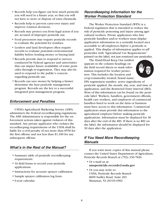- **•** Records help you figure out how much pesticide you will need in a future year, so that you will not have to store or dispose of extra chemicals.
- **•** Records help to prevent carry-over injury and improve rotation decisions.
- **•** Records may protect you from legal action if you are accused of improper pesticide use.
- **•** Food processors may require pesticide records to evaluate the potential for residues.
- **•** Lenders and land developers often require records to evaluate potential environmental liability before lending money or buying land.
- **•** Records provide data to respond to surveys conducted by Federal agencies and universities that can impact future availability of some pesticides through re-registration. They may also be used to respond to the public's concern regarding pesticide use.
- **•** Records can save money by helping a farmer determine the best pesticide management program. Records are the key to a successful integrated pest management program.

#### *Enforcement and Penalties*

USDA's Agricultural Marketing Service (AMS) administers the Federal recordkeeping regulations. The AMS Administrator is responsible for the enforcement actions taken against violators of this standard. Any private applicator who violates the recordkeeping requirements of the USDA shall be liable for a civil penalty of not more than \$550 for the first offense and not less than \$1,100 for any subsequent offense.

#### *What's in the Rest of the Manual?*

- **•** Summary table of pesticide recordkeeping requirements.
- **•** 16 field forms to record your pesticide applications.
- **•** Instructions for accurate sprayer calibration.
- **•** Sample sprayer calibration log form.
- **•** 6-year calendar.

#### *Recordkeeping Information for the Worker Protection Standard*

The Worker Protection Standard (WPS) is a Federal regulation that is intended to reduce the risk of pesticide poisoning and injury among agricultural workers. Private applicators who hire pesticide handlers and/or workers must display application information in a centrally located area accessible to all employees *before* a pesticide is applied. This display of information applies to *all* pesticides with "Agricultural Use Requirements" printed on the label, not just restricted use pesticides.

The Hand/Head Keep Out symbol appears in the column headings on the field record sheets to mark information required for worker protection. This includes the location and crop/commodity treated; brand name;



EPA registration number; active ingredients of pesticide applied; the month, day, year, and time of application; and the Restricted Entry Interval (REI). Most of this information can be found on the pesticide label. Workers, handlers, government officials, health care workers, and employers of commercial handlers hired to work on the farm or business must have access to this information. Commercial applicators must provide this information to the agricultural employer before making pesticide applications. Information must be displayed for 30 days after the end of the REI. If there is no REI on the label, the information should be displayed for 30 days after the application.

#### *If You Need More Recordkeeping Manuals*

If you want more copies of this manual please contact the United States Department of Agriculture, Pesticide Records Branch at (703) 330-7826.

- Or e-mail us at: **amspesticide.records@usda.gov**
- Or you may write to: USDA, Pesticide Records Branch 8609 Sudley Road, Suite 203 Manassas, VA 20110-4582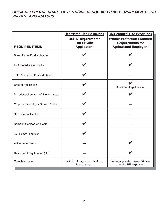|                                       | <b>Restricted Use Pesticides</b><br><b>USDA Requirements</b><br>for Private | <b>Agricultural Use Pesticides</b><br><b>Worker Protection Standard</b><br><b>Requirements for</b> |
|---------------------------------------|-----------------------------------------------------------------------------|----------------------------------------------------------------------------------------------------|
| <b>REQUIRED ITEMS</b>                 | <b>Applicators</b>                                                          | <b>Agricultural Employers</b>                                                                      |
| <b>Brand Name/Product Name</b>        |                                                                             |                                                                                                    |
| <b>EPA Registration Number</b>        |                                                                             |                                                                                                    |
| <b>Total Amount of Pesticide Used</b> |                                                                             |                                                                                                    |
| Date of Application                   |                                                                             | plus time of application                                                                           |
| Description/Location of Treated Area  |                                                                             |                                                                                                    |
| Crop, Commodity, or Stored Product    |                                                                             |                                                                                                    |
| Size of Area Treated                  |                                                                             |                                                                                                    |
| Name of Certified Applicator          |                                                                             |                                                                                                    |
| <b>Certification Number</b>           |                                                                             |                                                                                                    |
| Active Ingredients                    |                                                                             |                                                                                                    |
| Restricted Entry Interval (REI)       |                                                                             |                                                                                                    |
| Complete Record                       | Within 14 days of application;<br>keep 2 years.                             | Before application; keep 30 days<br>after the REI expiration.                                      |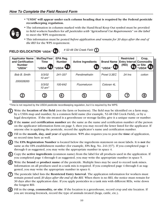**• "USDA" will appear under each column heading that is required by the Federal pesticide recordkeeping regulation.**



- **•** The information in columns marked with the Hand/Head Keep Out symbol must be provided to field workers/handlers for *all pesticides with "Agricultural Use Requirements" on the label* to meet the WPS requirement.
- **•** This information must be posted *before application and remain for 30 days after the end of the REI* for the WPS requirement.

| <b>Applicator Name</b><br>and Certification<br><b>Number</b><br>"USDA" | Mo/Day/Year<br><b>Time</b><br>"USDA" | EPA Reg.<br><b>Number</b><br><b>I</b> "USDA" | <b>Active Ingredients</b> | <b>Brand Name</b><br><b>"USDA"</b> | <b>Restricted</b><br><b>Entry Interval Commodity</b><br>(REI)<br>心香 | Crop,<br>or Site<br>"USDA" |
|------------------------------------------------------------------------|--------------------------------------|----------------------------------------------|---------------------------|------------------------------------|---------------------------------------------------------------------|----------------------------|
| <b>Bob B. Smith</b>                                                    | 5/3/02<br>$10$ am*                   | 241-337                                      | Pendimethalin             | Prowl 3.3EC                        | 24 hrs                                                              | cotton                     |
| 200028265                                                              | 5/3/02<br>10 $am*$                   | 100-642                                      | Fluometuron               | Cotoran 4L                         |                                                                     |                            |
| 2                                                                      | $\bf{(3)}$                           | 4.                                           | 5)                        | 6                                  |                                                                     | (8)                        |

\*Time is not required by the USDA pesticide recordkeeping regulation, but it is required by the WPS.

Write the **location of the field** (not the farm or business). The field may be identified on a farm map, by a USDA map and number, by a common field name (for example, 52-48 Old Creek Field), or by a legal description. If the site treated is a greenhouse or storage facility, give it a unique name or number.

**2** If the **name** and **certification number** are the same as the name and certification number of the person on the applicator information form on page 3, then you may record the letter listed for the applicator. If anyone else is applying the pesticide, record the applicator's name and certification number.

**3** Fill in the **month, day, and year** of application. WPS also requires you to post the **time** of application, so record time here as well.

**4** The **EPA Registration Number** is located below the ingredients statement on most labels. It is **not** the same as the EPA establishment number (for example, EPA Reg. No. 241-337). If you completed page 4 through 6 as suggested, you may write the appropriate number in space 4.

**5** Copy the **active ingredients** (common name) from the label for all products used in the application. If you completed page 4 through 6 as suggested, you may write the appropriate number in space 5.

**6** Write the **brand** or **product name** of the pesticide. Multiple lines may be used to record tank mixes. Information on all products used in a tank mix is required. If you completed page 4 through 6 as suggested, you may write the appropriate number in space 6.

**7** The pesticide label lists the **Restricted Entry Interval**. The application information for workers must remain posted until *30 days after the end of the REI.* When there is no REI, the notice must remain for 30 days after the application date. If you apply pesticides in a tank mix with different REIs, write down the longest REI.

**8** Fill in the **crop, commodity, or site**. If the location is a greenhouse, record crop and site location. If you are treating livestock, record the type of animals treated (hogs, cattle, etc.).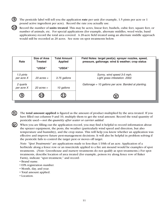- **9** The pesticide label will tell you the application **rate** per unit (for example, 1.5 pints per acre or 1 pound active ingredient per acre). Record the rate you actually use.
- **10** Record the number of **units treated**. This may be acres, linear feet, bushels, cubic feet, square feet, or number of animals, etc. For special applications (for example, alternate middles, weed wicks, band applications) record the total area covered. A 20-acre field treated using an alternate middle approach would still be recorded as 20 acres. See note on spot treatments below.

| Rate                    | Size of Area<br><b>Treated</b> | <b>Total Amount</b><br><b>Applied</b> | Field Notes: target pest(s); sprayer nozzles, speed,<br>pressure, gallonage; wind & weather; crop status |
|-------------------------|--------------------------------|---------------------------------------|----------------------------------------------------------------------------------------------------------|
|                         | "USDA"                         | <b>"USDA"</b>                         |                                                                                                          |
| 1.5 pints<br>per acre X | $20$ acres $=$                 | 3.75 gallons                          | Sunny, wind speed 3-5 mph.<br>Light grass infestation. 2002.                                             |
| 2 quarts<br>per acre X  | $20$ acres $=$                 | 10 gallons                            | Gallonage = 10 gallons per acre. Banded at planting.                                                     |
| $\boldsymbol{9}$        | (10                            | (11)                                  |                                                                                                          |

- The **total amount applied** is figured as the amount of product multiplied by the area treated. If you have filled out columns 9 and 10, multiply them to get the total amount. Record the total quantity of pesticide used—*not the quantity after water or carrier added.* **11**
- When you are filling out the application record, you may find it helpful to record information about the sprayer equipment, the pests, the weather (particularly wind speed and direction, but also temperature and humidity), and the crop status. This will help you know whether an application was effective and improve future pest-management decisions. It will also be helpful in problem solving if the pesticide fails to control the target pest or moves off target. **12**

*Note: "Spot Treatments"* are applications made to less than 1/10th of an acre. Application of a herbicide along a fence row or an insecticide applied to a fire ant mound would be examples of spot treatments. (*Note*: Greenhouse and nursery treatments do not qualify as spot treatments.) For spot treatments, describe location of area treated (for example, poison ivy along fence row of Baker Farm), indicate "spot treatment," and record:

- Brand name.
- EPA registration number.
- Month, day, and year.
- Total amount applied.
- Location.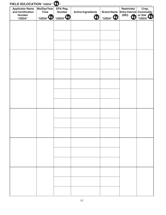| <b>Applicator Name</b><br>and Certification<br><b>Number</b><br>"USDA" | Mo/Day/Year<br><b>Time</b><br>"USDA" ( | EPA Reg.<br><b>Number</b><br>"USDA" 8 | <b>Active Ingredients</b><br>to a | "USDA" US | <b>Restricted</b><br><b>Brand Name Entry Interval</b><br>(REI) | Crop,<br><b>Commodity</b><br>or Site |
|------------------------------------------------------------------------|----------------------------------------|---------------------------------------|-----------------------------------|-----------|----------------------------------------------------------------|--------------------------------------|
|                                                                        |                                        |                                       |                                   |           |                                                                |                                      |
|                                                                        |                                        |                                       |                                   |           |                                                                |                                      |
|                                                                        |                                        |                                       |                                   |           |                                                                |                                      |
|                                                                        |                                        |                                       |                                   |           |                                                                |                                      |
|                                                                        |                                        |                                       |                                   |           |                                                                |                                      |
|                                                                        |                                        |                                       |                                   |           |                                                                |                                      |
|                                                                        |                                        |                                       |                                   |           |                                                                |                                      |
|                                                                        |                                        |                                       |                                   |           |                                                                |                                      |
|                                                                        |                                        |                                       |                                   |           |                                                                |                                      |
|                                                                        |                                        |                                       |                                   |           |                                                                |                                      |
|                                                                        |                                        |                                       |                                   |           |                                                                |                                      |
|                                                                        |                                        |                                       |                                   |           |                                                                |                                      |
|                                                                        |                                        |                                       |                                   |           |                                                                |                                      |
|                                                                        |                                        |                                       |                                   |           |                                                                |                                      |
|                                                                        |                                        |                                       |                                   |           |                                                                |                                      |
|                                                                        |                                        |                                       |                                   |           |                                                                |                                      |
|                                                                        |                                        |                                       |                                   |           |                                                                |                                      |
|                                                                        |                                        |                                       |                                   |           |                                                                |                                      |
|                                                                        |                                        |                                       |                                   |           |                                                                |                                      |
|                                                                        |                                        |                                       |                                   |           |                                                                |                                      |
|                                                                        |                                        |                                       |                                   |           |                                                                |                                      |
|                                                                        |                                        |                                       |                                   |           |                                                                |                                      |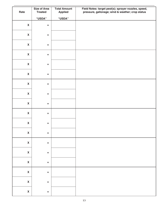| Rate                      | <b>Size of Area</b><br><b>Treated</b> | <b>Total Amount</b><br><b>Applied</b> | Field Notes: target pest(s); sprayer nozzles, speed,<br>pressure, gallonage; wind & weather; crop status |
|---------------------------|---------------------------------------|---------------------------------------|----------------------------------------------------------------------------------------------------------|
|                           | "USDA"                                | "USDA"                                |                                                                                                          |
| $\boldsymbol{\mathsf{X}}$ | $\equiv$                              |                                       |                                                                                                          |
| $\boldsymbol{\mathsf{X}}$ | $\equiv$                              |                                       |                                                                                                          |
| $\boldsymbol{\mathsf{X}}$ | $\equiv$                              |                                       |                                                                                                          |
| $\boldsymbol{\mathsf{X}}$ | $\equiv$                              |                                       |                                                                                                          |
| $\boldsymbol{\mathsf{X}}$ | $\equiv$                              |                                       |                                                                                                          |
| $\boldsymbol{\mathsf{X}}$ | $\equiv$                              |                                       |                                                                                                          |
| $\boldsymbol{\mathsf{X}}$ | $\equiv$                              |                                       |                                                                                                          |
| $\boldsymbol{\mathsf{X}}$ | $\equiv$                              |                                       |                                                                                                          |
| $\boldsymbol{\mathsf{X}}$ | $\equiv$                              |                                       |                                                                                                          |
| $\boldsymbol{\mathsf{X}}$ | $\equiv$                              |                                       |                                                                                                          |
| $\boldsymbol{\mathsf{X}}$ | $\equiv$                              |                                       |                                                                                                          |
| $\pmb{\mathsf{X}}$        | $\hspace{0.1cm} = \hspace{0.1cm}$     |                                       |                                                                                                          |
| $\pmb{\mathsf{X}}$        | $\quad \  \  =$                       |                                       |                                                                                                          |
| $\pmb{\mathsf{X}}$        | $\equiv$                              |                                       |                                                                                                          |
| $\pmb{\mathsf{X}}$        | $\quad \  \  =$                       |                                       |                                                                                                          |
| $\pmb{\mathsf{X}}$        | $\quad \  \  =$                       |                                       |                                                                                                          |
| $\mathbf{X}$              | $\quad \  \  =$                       |                                       |                                                                                                          |
| $\pmb{\mathsf{X}}$        | $\equiv$                              |                                       |                                                                                                          |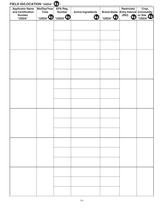| <b>Applicator Name</b><br>and Certification<br><b>Number</b><br>"USDA" | Mo/Day/Year<br><b>Time</b><br>"USDA" <sup>4</sup> | EPA Reg.<br><b>Number</b><br>"USDA" | <b>Active Ingredients</b><br>Ua | <b>Brand Name</b><br>"USDA" <sup>V</sup> | <b>Restricted</b><br><b>Entry Interval</b><br>(REI) | Crop,<br><b>Commodity</b><br>or Site |
|------------------------------------------------------------------------|---------------------------------------------------|-------------------------------------|---------------------------------|------------------------------------------|-----------------------------------------------------|--------------------------------------|
|                                                                        |                                                   |                                     |                                 |                                          |                                                     |                                      |
|                                                                        |                                                   |                                     |                                 |                                          |                                                     |                                      |
|                                                                        |                                                   |                                     |                                 |                                          |                                                     |                                      |
|                                                                        |                                                   |                                     |                                 |                                          |                                                     |                                      |
|                                                                        |                                                   |                                     |                                 |                                          |                                                     |                                      |
|                                                                        |                                                   |                                     |                                 |                                          |                                                     |                                      |
|                                                                        |                                                   |                                     |                                 |                                          |                                                     |                                      |
|                                                                        |                                                   |                                     |                                 |                                          |                                                     |                                      |
|                                                                        |                                                   |                                     |                                 |                                          |                                                     |                                      |
|                                                                        |                                                   |                                     |                                 |                                          |                                                     |                                      |
|                                                                        |                                                   |                                     |                                 |                                          |                                                     |                                      |
|                                                                        |                                                   |                                     |                                 |                                          |                                                     |                                      |
|                                                                        |                                                   |                                     |                                 |                                          |                                                     |                                      |
|                                                                        |                                                   |                                     |                                 |                                          |                                                     |                                      |
|                                                                        |                                                   |                                     |                                 |                                          |                                                     |                                      |
|                                                                        |                                                   |                                     |                                 |                                          |                                                     |                                      |
|                                                                        |                                                   |                                     |                                 |                                          |                                                     |                                      |
|                                                                        |                                                   |                                     |                                 |                                          |                                                     |                                      |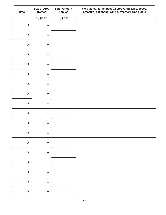| Rate                      | <b>Size of Area</b><br><b>Treated</b> | <b>Total Amount</b><br><b>Applied</b> | Field Notes: target pest(s); sprayer nozzles, speed,<br>pressure, gallonage; wind & weather; crop status |
|---------------------------|---------------------------------------|---------------------------------------|----------------------------------------------------------------------------------------------------------|
|                           | "USDA"                                | "USDA"                                |                                                                                                          |
| $\boldsymbol{\mathsf{X}}$ | $\equiv$                              |                                       |                                                                                                          |
| $\boldsymbol{\mathsf{X}}$ | $\equiv$                              |                                       |                                                                                                          |
| $\boldsymbol{\mathsf{X}}$ | $\equiv$                              |                                       |                                                                                                          |
| $\boldsymbol{\mathsf{X}}$ | $\equiv$                              |                                       |                                                                                                          |
| $\boldsymbol{\mathsf{X}}$ | $\equiv$                              |                                       |                                                                                                          |
| $\boldsymbol{\mathsf{X}}$ | $\equiv$                              |                                       |                                                                                                          |
| $\boldsymbol{\mathsf{X}}$ | $\equiv$                              |                                       |                                                                                                          |
| $\boldsymbol{\mathsf{X}}$ | $\equiv$                              |                                       |                                                                                                          |
| $\boldsymbol{\mathsf{X}}$ | $\equiv$                              |                                       |                                                                                                          |
| $\boldsymbol{\mathsf{X}}$ | $\equiv$                              |                                       |                                                                                                          |
| $\boldsymbol{\mathsf{X}}$ | $\equiv$                              |                                       |                                                                                                          |
| $\pmb{\mathsf{X}}$        | $\hspace{0.1cm} = \hspace{0.1cm}$     |                                       |                                                                                                          |
| $\pmb{\mathsf{X}}$        | $\quad \  \  =$                       |                                       |                                                                                                          |
| $\pmb{\mathsf{X}}$        | $\equiv$                              |                                       |                                                                                                          |
| $\pmb{\mathsf{X}}$        | $\quad \  \  =$                       |                                       |                                                                                                          |
| $\pmb{\mathsf{X}}$        | $\quad \  \  =$                       |                                       |                                                                                                          |
| $\mathbf{X}$              | $\quad \  \  =$                       |                                       |                                                                                                          |
| $\pmb{\mathsf{X}}$        | $\equiv$                              |                                       |                                                                                                          |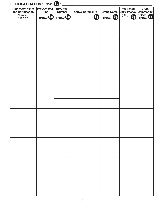| <b>Applicator Name</b><br>and Certification<br><b>Number</b><br>"USDA" | Mo/Day/Year<br><b>Time</b><br>"USDA" <sup>4</sup> | EPA Reg.<br><b>Number</b><br>"USDA" | <b>Active Ingredients</b><br>Ua | <b>Brand Name</b><br>"USDA" <sup>V</sup> | <b>Restricted</b><br><b>Entry Interval</b><br>(REI) | Crop,<br><b>Commodity</b><br>or Site<br>"USDA" |
|------------------------------------------------------------------------|---------------------------------------------------|-------------------------------------|---------------------------------|------------------------------------------|-----------------------------------------------------|------------------------------------------------|
|                                                                        |                                                   |                                     |                                 |                                          |                                                     |                                                |
|                                                                        |                                                   |                                     |                                 |                                          |                                                     |                                                |
|                                                                        |                                                   |                                     |                                 |                                          |                                                     |                                                |
|                                                                        |                                                   |                                     |                                 |                                          |                                                     |                                                |
|                                                                        |                                                   |                                     |                                 |                                          |                                                     |                                                |
|                                                                        |                                                   |                                     |                                 |                                          |                                                     |                                                |
|                                                                        |                                                   |                                     |                                 |                                          |                                                     |                                                |
|                                                                        |                                                   |                                     |                                 |                                          |                                                     |                                                |
|                                                                        |                                                   |                                     |                                 |                                          |                                                     |                                                |
|                                                                        |                                                   |                                     |                                 |                                          |                                                     |                                                |
|                                                                        |                                                   |                                     |                                 |                                          |                                                     |                                                |
|                                                                        |                                                   |                                     |                                 |                                          |                                                     |                                                |
|                                                                        |                                                   |                                     |                                 |                                          |                                                     |                                                |
|                                                                        |                                                   |                                     |                                 |                                          |                                                     |                                                |
|                                                                        |                                                   |                                     |                                 |                                          |                                                     |                                                |
|                                                                        |                                                   |                                     |                                 |                                          |                                                     |                                                |
|                                                                        |                                                   |                                     |                                 |                                          |                                                     |                                                |
|                                                                        |                                                   |                                     |                                 |                                          |                                                     |                                                |
|                                                                        |                                                   |                                     |                                 |                                          |                                                     |                                                |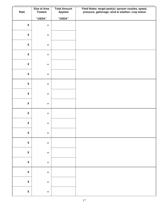| Rate                      | <b>Size of Area</b><br><b>Treated</b> | <b>Total Amount</b><br><b>Applied</b> | Field Notes: target pest(s); sprayer nozzles, speed,<br>pressure, gallonage; wind & weather; crop status |
|---------------------------|---------------------------------------|---------------------------------------|----------------------------------------------------------------------------------------------------------|
|                           | "USDA"                                | "USDA"                                |                                                                                                          |
| $\boldsymbol{\mathsf{X}}$ | $\equiv$                              |                                       |                                                                                                          |
| $\boldsymbol{\mathsf{X}}$ | $\equiv$                              |                                       |                                                                                                          |
| $\boldsymbol{\mathsf{X}}$ | $\equiv$                              |                                       |                                                                                                          |
| $\boldsymbol{\mathsf{X}}$ | $\equiv$                              |                                       |                                                                                                          |
| $\boldsymbol{\mathsf{X}}$ | $\equiv$                              |                                       |                                                                                                          |
| $\boldsymbol{\mathsf{X}}$ | $\equiv$                              |                                       |                                                                                                          |
| $\boldsymbol{\mathsf{X}}$ | $\equiv$                              |                                       |                                                                                                          |
| $\boldsymbol{\mathsf{X}}$ | $\equiv$                              |                                       |                                                                                                          |
| $\boldsymbol{\mathsf{X}}$ | $\equiv$                              |                                       |                                                                                                          |
| $\boldsymbol{\mathsf{X}}$ | $\equiv$                              |                                       |                                                                                                          |
| $\boldsymbol{\mathsf{X}}$ | $\equiv$                              |                                       |                                                                                                          |
| $\pmb{\mathsf{X}}$        | $\hspace{0.1cm} = \hspace{0.1cm}$     |                                       |                                                                                                          |
| $\pmb{\mathsf{X}}$        | $\quad \  \  =$                       |                                       |                                                                                                          |
| $\pmb{\mathsf{X}}$        | $\equiv$                              |                                       |                                                                                                          |
| $\pmb{\mathsf{X}}$        | $\quad \  \  =$                       |                                       |                                                                                                          |
| $\pmb{\mathsf{X}}$        | $\quad \  \  =$                       |                                       |                                                                                                          |
| $\mathbf{X}$              | $\quad \  \  =$                       |                                       |                                                                                                          |
| $\pmb{\mathsf{X}}$        | $\equiv$                              |                                       |                                                                                                          |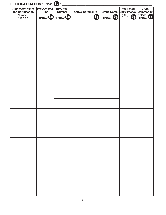| <b>Applicator Name</b><br>and Certification<br><b>Number</b><br>"USDA" | Mo/Day/Year<br><b>Time</b><br>"USDA" <sup>4</sup> | EPA Reg.<br><b>Number</b><br>"USDA" | <b>Active Ingredients</b><br>Ua | <b>Brand Name</b><br>"USDA" <sup>V</sup> | <b>Restricted</b><br><b>Entry Interval</b><br>(REI) | Crop,<br><b>Commodity</b><br>or Site<br>"USDA" |
|------------------------------------------------------------------------|---------------------------------------------------|-------------------------------------|---------------------------------|------------------------------------------|-----------------------------------------------------|------------------------------------------------|
|                                                                        |                                                   |                                     |                                 |                                          |                                                     |                                                |
|                                                                        |                                                   |                                     |                                 |                                          |                                                     |                                                |
|                                                                        |                                                   |                                     |                                 |                                          |                                                     |                                                |
|                                                                        |                                                   |                                     |                                 |                                          |                                                     |                                                |
|                                                                        |                                                   |                                     |                                 |                                          |                                                     |                                                |
|                                                                        |                                                   |                                     |                                 |                                          |                                                     |                                                |
|                                                                        |                                                   |                                     |                                 |                                          |                                                     |                                                |
|                                                                        |                                                   |                                     |                                 |                                          |                                                     |                                                |
|                                                                        |                                                   |                                     |                                 |                                          |                                                     |                                                |
|                                                                        |                                                   |                                     |                                 |                                          |                                                     |                                                |
|                                                                        |                                                   |                                     |                                 |                                          |                                                     |                                                |
|                                                                        |                                                   |                                     |                                 |                                          |                                                     |                                                |
|                                                                        |                                                   |                                     |                                 |                                          |                                                     |                                                |
|                                                                        |                                                   |                                     |                                 |                                          |                                                     |                                                |
|                                                                        |                                                   |                                     |                                 |                                          |                                                     |                                                |
|                                                                        |                                                   |                                     |                                 |                                          |                                                     |                                                |
|                                                                        |                                                   |                                     |                                 |                                          |                                                     |                                                |
|                                                                        |                                                   |                                     |                                 |                                          |                                                     |                                                |
|                                                                        |                                                   |                                     |                                 |                                          |                                                     |                                                |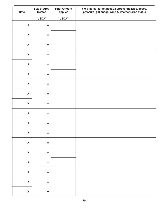| Rate                      | <b>Size of Area</b><br><b>Treated</b> | <b>Total Amount</b><br><b>Applied</b> | Field Notes: target pest(s); sprayer nozzles, speed,<br>pressure, gallonage; wind & weather; crop status |
|---------------------------|---------------------------------------|---------------------------------------|----------------------------------------------------------------------------------------------------------|
|                           | "USDA"                                | "USDA"                                |                                                                                                          |
| $\boldsymbol{\mathsf{X}}$ | $\equiv$                              |                                       |                                                                                                          |
| $\boldsymbol{\mathsf{X}}$ | $\equiv$                              |                                       |                                                                                                          |
| $\boldsymbol{\mathsf{X}}$ | $\equiv$                              |                                       |                                                                                                          |
| $\boldsymbol{\mathsf{X}}$ | $\equiv$                              |                                       |                                                                                                          |
| $\boldsymbol{\mathsf{X}}$ | $\equiv$                              |                                       |                                                                                                          |
| $\boldsymbol{\mathsf{X}}$ | $\equiv$                              |                                       |                                                                                                          |
| $\boldsymbol{\mathsf{X}}$ | $\equiv$                              |                                       |                                                                                                          |
| $\boldsymbol{\mathsf{X}}$ | $\equiv$                              |                                       |                                                                                                          |
| $\boldsymbol{\mathsf{X}}$ | $\equiv$                              |                                       |                                                                                                          |
| $\boldsymbol{\mathsf{X}}$ | $\equiv$                              |                                       |                                                                                                          |
| $\boldsymbol{\mathsf{X}}$ | $\equiv$                              |                                       |                                                                                                          |
| $\pmb{\mathsf{X}}$        | $\hspace{0.1cm} = \hspace{0.1cm}$     |                                       |                                                                                                          |
| $\pmb{\mathsf{X}}$        | $\quad \  \  =$                       |                                       |                                                                                                          |
| $\pmb{\mathsf{X}}$        | $\equiv$                              |                                       |                                                                                                          |
| $\pmb{\mathsf{X}}$        | $\quad \  \  =$                       |                                       |                                                                                                          |
| $\pmb{\mathsf{X}}$        | $\quad \  \  =$                       |                                       |                                                                                                          |
| $\mathbf{X}$              | $\quad \  \  =$                       |                                       |                                                                                                          |
| $\pmb{\mathsf{X}}$        | $\equiv$                              |                                       |                                                                                                          |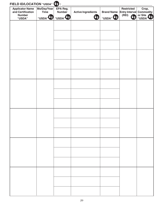| <b>Applicator Name</b><br>and Certification<br><b>Number</b><br>"USDA" | Mo/Day/Year<br><b>Time</b><br>"USDA" <sup>4</sup> | EPA Reg.<br><b>Number</b><br>"USDA" | <b>Active Ingredients</b><br>Ua | <b>Brand Name</b><br>"USDA" <sup>V</sup> | <b>Restricted</b><br><b>Entry Interval</b><br>(REI) | Crop,<br><b>Commodity</b><br>or Site<br>"USDA" |
|------------------------------------------------------------------------|---------------------------------------------------|-------------------------------------|---------------------------------|------------------------------------------|-----------------------------------------------------|------------------------------------------------|
|                                                                        |                                                   |                                     |                                 |                                          |                                                     |                                                |
|                                                                        |                                                   |                                     |                                 |                                          |                                                     |                                                |
|                                                                        |                                                   |                                     |                                 |                                          |                                                     |                                                |
|                                                                        |                                                   |                                     |                                 |                                          |                                                     |                                                |
|                                                                        |                                                   |                                     |                                 |                                          |                                                     |                                                |
|                                                                        |                                                   |                                     |                                 |                                          |                                                     |                                                |
|                                                                        |                                                   |                                     |                                 |                                          |                                                     |                                                |
|                                                                        |                                                   |                                     |                                 |                                          |                                                     |                                                |
|                                                                        |                                                   |                                     |                                 |                                          |                                                     |                                                |
|                                                                        |                                                   |                                     |                                 |                                          |                                                     |                                                |
|                                                                        |                                                   |                                     |                                 |                                          |                                                     |                                                |
|                                                                        |                                                   |                                     |                                 |                                          |                                                     |                                                |
|                                                                        |                                                   |                                     |                                 |                                          |                                                     |                                                |
|                                                                        |                                                   |                                     |                                 |                                          |                                                     |                                                |
|                                                                        |                                                   |                                     |                                 |                                          |                                                     |                                                |
|                                                                        |                                                   |                                     |                                 |                                          |                                                     |                                                |
|                                                                        |                                                   |                                     |                                 |                                          |                                                     |                                                |
|                                                                        |                                                   |                                     |                                 |                                          |                                                     |                                                |
|                                                                        |                                                   |                                     |                                 |                                          |                                                     |                                                |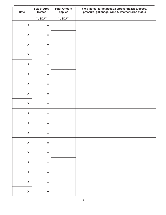| Rate                      | <b>Size of Area</b><br><b>Treated</b> | <b>Total Amount</b><br><b>Applied</b> | Field Notes: target pest(s); sprayer nozzles, speed,<br>pressure, gallonage; wind & weather; crop status |
|---------------------------|---------------------------------------|---------------------------------------|----------------------------------------------------------------------------------------------------------|
|                           | "USDA"                                | "USDA"                                |                                                                                                          |
| $\boldsymbol{\mathsf{X}}$ | $\equiv$                              |                                       |                                                                                                          |
| $\boldsymbol{\mathsf{X}}$ | $\equiv$                              |                                       |                                                                                                          |
| $\boldsymbol{\mathsf{X}}$ | $\equiv$                              |                                       |                                                                                                          |
| $\boldsymbol{\mathsf{X}}$ | $\equiv$                              |                                       |                                                                                                          |
| $\boldsymbol{\mathsf{X}}$ | $\equiv$                              |                                       |                                                                                                          |
| $\boldsymbol{\mathsf{X}}$ | $\equiv$                              |                                       |                                                                                                          |
| $\boldsymbol{\mathsf{X}}$ | $\equiv$                              |                                       |                                                                                                          |
| $\boldsymbol{\mathsf{X}}$ | $\equiv$                              |                                       |                                                                                                          |
| $\boldsymbol{\mathsf{X}}$ | $\equiv$                              |                                       |                                                                                                          |
| $\boldsymbol{\mathsf{X}}$ | $\equiv$                              |                                       |                                                                                                          |
| $\boldsymbol{\mathsf{X}}$ | $\equiv$                              |                                       |                                                                                                          |
| $\pmb{\mathsf{X}}$        | $\hspace{0.1cm} = \hspace{0.1cm}$     |                                       |                                                                                                          |
| $\pmb{\mathsf{X}}$        | $\quad \  \  =$                       |                                       |                                                                                                          |
| $\pmb{\mathsf{X}}$        | $\equiv$                              |                                       |                                                                                                          |
| $\pmb{\mathsf{X}}$        | $\quad \  \  =$                       |                                       |                                                                                                          |
| $\pmb{\mathsf{X}}$        | $\quad \  \  =$                       |                                       |                                                                                                          |
| $\mathbf{X}$              | $\quad \  \  =$                       |                                       |                                                                                                          |
| $\pmb{\mathsf{X}}$        | $\equiv$                              |                                       |                                                                                                          |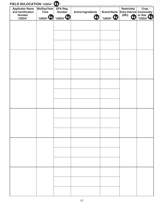| <b>Applicator Name</b><br>and Certification<br><b>Number</b><br>"USDA" | Mo/Day/Year<br><b>Time</b><br>"USDA" <sup>4</sup> | EPA Reg.<br><b>Number</b><br>"USDA" | <b>Active Ingredients</b><br>Ua | <b>Brand Name</b><br>"USDA" <sup>V</sup> | <b>Restricted</b><br><b>Entry Interval</b><br>(REI) | Crop,<br><b>Commodity</b><br>or Site<br>"USDA" |
|------------------------------------------------------------------------|---------------------------------------------------|-------------------------------------|---------------------------------|------------------------------------------|-----------------------------------------------------|------------------------------------------------|
|                                                                        |                                                   |                                     |                                 |                                          |                                                     |                                                |
|                                                                        |                                                   |                                     |                                 |                                          |                                                     |                                                |
|                                                                        |                                                   |                                     |                                 |                                          |                                                     |                                                |
|                                                                        |                                                   |                                     |                                 |                                          |                                                     |                                                |
|                                                                        |                                                   |                                     |                                 |                                          |                                                     |                                                |
|                                                                        |                                                   |                                     |                                 |                                          |                                                     |                                                |
|                                                                        |                                                   |                                     |                                 |                                          |                                                     |                                                |
|                                                                        |                                                   |                                     |                                 |                                          |                                                     |                                                |
|                                                                        |                                                   |                                     |                                 |                                          |                                                     |                                                |
|                                                                        |                                                   |                                     |                                 |                                          |                                                     |                                                |
|                                                                        |                                                   |                                     |                                 |                                          |                                                     |                                                |
|                                                                        |                                                   |                                     |                                 |                                          |                                                     |                                                |
|                                                                        |                                                   |                                     |                                 |                                          |                                                     |                                                |
|                                                                        |                                                   |                                     |                                 |                                          |                                                     |                                                |
|                                                                        |                                                   |                                     |                                 |                                          |                                                     |                                                |
|                                                                        |                                                   |                                     |                                 |                                          |                                                     |                                                |
|                                                                        |                                                   |                                     |                                 |                                          |                                                     |                                                |
|                                                                        |                                                   |                                     |                                 |                                          |                                                     |                                                |
|                                                                        |                                                   |                                     |                                 |                                          |                                                     |                                                |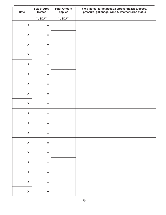|                           | <b>Size of Area</b> | <b>Total Amount</b> | Field Notes: target pest(s); sprayer nozzles, speed, |
|---------------------------|---------------------|---------------------|------------------------------------------------------|
| Rate                      | <b>Treated</b>      | <b>Applied</b>      | pressure, gallonage; wind & weather; crop status     |
|                           | "USDA"              | "USDA"              |                                                      |
| $\boldsymbol{\mathsf{X}}$ | $\equiv$            |                     |                                                      |
|                           |                     |                     |                                                      |
| $\boldsymbol{\mathsf{X}}$ | $\equiv$            |                     |                                                      |
|                           |                     |                     |                                                      |
| $\boldsymbol{\mathsf{X}}$ | $\equiv$            |                     |                                                      |
| $\boldsymbol{\mathsf{X}}$ | $\equiv$            |                     |                                                      |
|                           |                     |                     |                                                      |
| $\boldsymbol{\mathsf{X}}$ | $\equiv$            |                     |                                                      |
|                           |                     |                     |                                                      |
| $\boldsymbol{\mathsf{X}}$ | $\equiv$            |                     |                                                      |
| $\boldsymbol{\mathsf{X}}$ | $\equiv$            |                     |                                                      |
|                           |                     |                     |                                                      |
| $\boldsymbol{\mathsf{X}}$ | $\equiv$            |                     |                                                      |
|                           |                     |                     |                                                      |
| $\boldsymbol{\mathsf{X}}$ | $\equiv$            |                     |                                                      |
| $\boldsymbol{\mathsf{X}}$ | $\equiv$            |                     |                                                      |
|                           |                     |                     |                                                      |
| $\boldsymbol{\mathsf{X}}$ | $\equiv$            |                     |                                                      |
|                           |                     |                     |                                                      |
| $\pmb{\mathsf{X}}$        | $\equiv$            |                     |                                                      |
| $\pmb{\mathsf{X}}$        | $\quad \  \  =$     |                     |                                                      |
|                           |                     |                     |                                                      |
| $\pmb{\mathsf{X}}$        | $\quad \  \  =$     |                     |                                                      |
|                           |                     |                     |                                                      |
| $\pmb{\mathsf{X}}$        | $\quad \  \  =$     |                     |                                                      |
| $\pmb{\mathsf{X}}$        | $\quad \  \  =$     |                     |                                                      |
|                           |                     |                     |                                                      |
| $\pmb{\mathsf{X}}$        | $\quad \  \  =$     |                     |                                                      |
|                           |                     |                     |                                                      |
| $\pmb{\mathsf{X}}$        | $\equiv$            |                     |                                                      |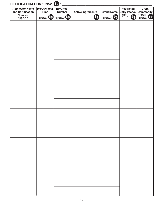| <b>Applicator Name</b><br>and Certification<br><b>Number</b><br>"USDA" | Mo/Day/Year<br><b>Time</b><br>"USDA" <sup>4</sup> | EPA Reg.<br><b>Number</b><br>"USDA" | <b>Active Ingredients</b><br>Ua | <b>Brand Name</b><br>"USDA" <sup>V</sup> | <b>Restricted</b><br><b>Entry Interval</b><br>(REI) | Crop,<br><b>Commodity</b><br>or Site<br>"USDA" |
|------------------------------------------------------------------------|---------------------------------------------------|-------------------------------------|---------------------------------|------------------------------------------|-----------------------------------------------------|------------------------------------------------|
|                                                                        |                                                   |                                     |                                 |                                          |                                                     |                                                |
|                                                                        |                                                   |                                     |                                 |                                          |                                                     |                                                |
|                                                                        |                                                   |                                     |                                 |                                          |                                                     |                                                |
|                                                                        |                                                   |                                     |                                 |                                          |                                                     |                                                |
|                                                                        |                                                   |                                     |                                 |                                          |                                                     |                                                |
|                                                                        |                                                   |                                     |                                 |                                          |                                                     |                                                |
|                                                                        |                                                   |                                     |                                 |                                          |                                                     |                                                |
|                                                                        |                                                   |                                     |                                 |                                          |                                                     |                                                |
|                                                                        |                                                   |                                     |                                 |                                          |                                                     |                                                |
|                                                                        |                                                   |                                     |                                 |                                          |                                                     |                                                |
|                                                                        |                                                   |                                     |                                 |                                          |                                                     |                                                |
|                                                                        |                                                   |                                     |                                 |                                          |                                                     |                                                |
|                                                                        |                                                   |                                     |                                 |                                          |                                                     |                                                |
|                                                                        |                                                   |                                     |                                 |                                          |                                                     |                                                |
|                                                                        |                                                   |                                     |                                 |                                          |                                                     |                                                |
|                                                                        |                                                   |                                     |                                 |                                          |                                                     |                                                |
|                                                                        |                                                   |                                     |                                 |                                          |                                                     |                                                |
|                                                                        |                                                   |                                     |                                 |                                          |                                                     |                                                |
|                                                                        |                                                   |                                     |                                 |                                          |                                                     |                                                |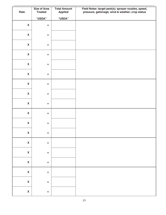|                           | <b>Size of Area</b> | <b>Total Amount</b> | Field Notes: target pest(s); sprayer nozzles, speed, |
|---------------------------|---------------------|---------------------|------------------------------------------------------|
| Rate                      | <b>Treated</b>      | <b>Applied</b>      | pressure, gallonage; wind & weather; crop status     |
|                           | "USDA"              | "USDA"              |                                                      |
| $\boldsymbol{\mathsf{X}}$ | $\equiv$            |                     |                                                      |
|                           |                     |                     |                                                      |
| $\boldsymbol{\mathsf{X}}$ | $\equiv$            |                     |                                                      |
|                           |                     |                     |                                                      |
| $\boldsymbol{\mathsf{X}}$ | $\equiv$            |                     |                                                      |
| $\boldsymbol{\mathsf{X}}$ | $\equiv$            |                     |                                                      |
|                           |                     |                     |                                                      |
| $\boldsymbol{\mathsf{X}}$ | $\equiv$            |                     |                                                      |
|                           |                     |                     |                                                      |
| $\boldsymbol{\mathsf{X}}$ | $\equiv$            |                     |                                                      |
| $\boldsymbol{\mathsf{X}}$ | $\equiv$            |                     |                                                      |
|                           |                     |                     |                                                      |
| $\boldsymbol{\mathsf{X}}$ | $\equiv$            |                     |                                                      |
|                           |                     |                     |                                                      |
| $\boldsymbol{\mathsf{X}}$ | $\equiv$            |                     |                                                      |
| $\boldsymbol{\mathsf{X}}$ | $\equiv$            |                     |                                                      |
|                           |                     |                     |                                                      |
| $\boldsymbol{\mathsf{X}}$ | $\equiv$            |                     |                                                      |
|                           |                     |                     |                                                      |
| $\pmb{\mathsf{X}}$        | $\equiv$            |                     |                                                      |
| $\pmb{\mathsf{X}}$        | $\quad \  \  =$     |                     |                                                      |
|                           |                     |                     |                                                      |
| $\pmb{\mathsf{X}}$        | $\quad \  \  =$     |                     |                                                      |
|                           |                     |                     |                                                      |
| $\pmb{\mathsf{X}}$        | $\quad \  \  =$     |                     |                                                      |
| $\pmb{\mathsf{X}}$        | $\quad \  \  =$     |                     |                                                      |
|                           |                     |                     |                                                      |
| $\pmb{\mathsf{X}}$        | $\quad \  \  =$     |                     |                                                      |
|                           |                     |                     |                                                      |
| $\pmb{\mathsf{X}}$        | $\equiv$            |                     |                                                      |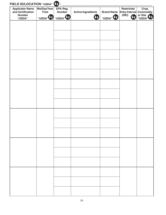| <b>Applicator Name</b><br>and Certification<br><b>Number</b><br>"USDA" | Mo/Day/Year<br><b>Time</b><br>"USDA" <sup>4</sup> | EPA Reg.<br><b>Number</b><br>"USDA" | <b>Active Ingredients</b><br>Ua | <b>Brand Name</b><br>"USDA" <sup>I</sup> <sup>®</sup> | <b>Restricted</b><br><b>Entry Interval</b><br>(REI) | Crop,<br><b>Commodity</b><br>or Site<br>"USDA" |
|------------------------------------------------------------------------|---------------------------------------------------|-------------------------------------|---------------------------------|-------------------------------------------------------|-----------------------------------------------------|------------------------------------------------|
|                                                                        |                                                   |                                     |                                 |                                                       |                                                     |                                                |
|                                                                        |                                                   |                                     |                                 |                                                       |                                                     |                                                |
|                                                                        |                                                   |                                     |                                 |                                                       |                                                     |                                                |
|                                                                        |                                                   |                                     |                                 |                                                       |                                                     |                                                |
|                                                                        |                                                   |                                     |                                 |                                                       |                                                     |                                                |
|                                                                        |                                                   |                                     |                                 |                                                       |                                                     |                                                |
|                                                                        |                                                   |                                     |                                 |                                                       |                                                     |                                                |
|                                                                        |                                                   |                                     |                                 |                                                       |                                                     |                                                |
|                                                                        |                                                   |                                     |                                 |                                                       |                                                     |                                                |
|                                                                        |                                                   |                                     |                                 |                                                       |                                                     |                                                |
|                                                                        |                                                   |                                     |                                 |                                                       |                                                     |                                                |
|                                                                        |                                                   |                                     |                                 |                                                       |                                                     |                                                |
|                                                                        |                                                   |                                     |                                 |                                                       |                                                     |                                                |
|                                                                        |                                                   |                                     |                                 |                                                       |                                                     |                                                |
|                                                                        |                                                   |                                     |                                 |                                                       |                                                     |                                                |
|                                                                        |                                                   |                                     |                                 |                                                       |                                                     |                                                |
|                                                                        |                                                   |                                     |                                 |                                                       |                                                     |                                                |
|                                                                        |                                                   |                                     |                                 |                                                       |                                                     |                                                |
|                                                                        |                                                   |                                     |                                 |                                                       |                                                     |                                                |
|                                                                        |                                                   |                                     |                                 |                                                       |                                                     |                                                |
|                                                                        |                                                   |                                     |                                 |                                                       |                                                     |                                                |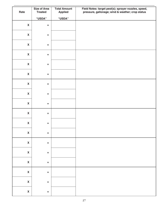|                           | <b>Size of Area</b> | <b>Total Amount</b> | Field Notes: target pest(s); sprayer nozzles, speed, |
|---------------------------|---------------------|---------------------|------------------------------------------------------|
| Rate                      | <b>Treated</b>      | <b>Applied</b>      | pressure, gallonage; wind & weather; crop status     |
|                           | "USDA"              | "USDA"              |                                                      |
| $\boldsymbol{\mathsf{X}}$ | $\equiv$            |                     |                                                      |
| $\boldsymbol{\mathsf{X}}$ | $\equiv$            |                     |                                                      |
| $\boldsymbol{\mathsf{X}}$ | $\equiv$            |                     |                                                      |
|                           |                     |                     |                                                      |
| $\boldsymbol{\mathsf{X}}$ | $\equiv$            |                     |                                                      |
| $\boldsymbol{\mathsf{X}}$ | $\equiv$            |                     |                                                      |
| $\boldsymbol{\mathsf{X}}$ | $\equiv$            |                     |                                                      |
| $\boldsymbol{\mathsf{X}}$ | $\equiv$            |                     |                                                      |
| $\boldsymbol{\mathsf{X}}$ | $\equiv$            |                     |                                                      |
| $\boldsymbol{\mathsf{X}}$ | $\equiv$            |                     |                                                      |
| $\boldsymbol{\mathsf{X}}$ | $\equiv$            |                     |                                                      |
| $\boldsymbol{\mathsf{X}}$ | $\equiv$            |                     |                                                      |
| $\pmb{\mathsf{X}}$        | $\equiv$            |                     |                                                      |
| $\pmb{\mathsf{X}}$        | $\quad \  \  =$     |                     |                                                      |
| $\pmb{\mathsf{X}}$        | $\quad \  \  =$     |                     |                                                      |
| $\pmb{\mathsf{X}}$        | $\quad \  \  =$     |                     |                                                      |
| $\pmb{\mathsf{X}}$        | $\quad \  \  =$     |                     |                                                      |
| $\mathbf{X}$              | $\quad \  \  =$     |                     |                                                      |
| $\pmb{\mathsf{X}}$        | $\equiv$            |                     |                                                      |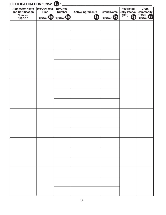| <b>Applicator Name</b><br>and Certification<br><b>Number</b><br>"USDA" | Mo/Day/Year<br><b>Time</b><br>"USDA" <sup>4</sup> | EPA Reg.<br><b>Number</b><br>"USDA" | <b>Active Ingredients</b><br>Ua | <b>Brand Name</b><br>"USDA" <sup>I</sup> <sup>®</sup> | <b>Restricted</b><br><b>Entry Interval</b><br>(REI) | Crop,<br><b>Commodity</b><br>or Site<br>"USDA" |
|------------------------------------------------------------------------|---------------------------------------------------|-------------------------------------|---------------------------------|-------------------------------------------------------|-----------------------------------------------------|------------------------------------------------|
|                                                                        |                                                   |                                     |                                 |                                                       |                                                     |                                                |
|                                                                        |                                                   |                                     |                                 |                                                       |                                                     |                                                |
|                                                                        |                                                   |                                     |                                 |                                                       |                                                     |                                                |
|                                                                        |                                                   |                                     |                                 |                                                       |                                                     |                                                |
|                                                                        |                                                   |                                     |                                 |                                                       |                                                     |                                                |
|                                                                        |                                                   |                                     |                                 |                                                       |                                                     |                                                |
|                                                                        |                                                   |                                     |                                 |                                                       |                                                     |                                                |
|                                                                        |                                                   |                                     |                                 |                                                       |                                                     |                                                |
|                                                                        |                                                   |                                     |                                 |                                                       |                                                     |                                                |
|                                                                        |                                                   |                                     |                                 |                                                       |                                                     |                                                |
|                                                                        |                                                   |                                     |                                 |                                                       |                                                     |                                                |
|                                                                        |                                                   |                                     |                                 |                                                       |                                                     |                                                |
|                                                                        |                                                   |                                     |                                 |                                                       |                                                     |                                                |
|                                                                        |                                                   |                                     |                                 |                                                       |                                                     |                                                |
|                                                                        |                                                   |                                     |                                 |                                                       |                                                     |                                                |
|                                                                        |                                                   |                                     |                                 |                                                       |                                                     |                                                |
|                                                                        |                                                   |                                     |                                 |                                                       |                                                     |                                                |
|                                                                        |                                                   |                                     |                                 |                                                       |                                                     |                                                |
|                                                                        |                                                   |                                     |                                 |                                                       |                                                     |                                                |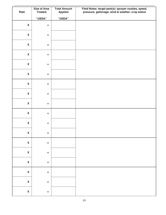| Rate                      | <b>Size of Area</b><br><b>Treated</b> | <b>Total Amount</b><br><b>Applied</b> | Field Notes: target pest(s); sprayer nozzles, speed,<br>pressure, gallonage; wind & weather; crop status |
|---------------------------|---------------------------------------|---------------------------------------|----------------------------------------------------------------------------------------------------------|
|                           | "USDA"                                | "USDA"                                |                                                                                                          |
| $\boldsymbol{\mathsf{X}}$ | $\equiv$                              |                                       |                                                                                                          |
| $\boldsymbol{\mathsf{X}}$ | $\equiv$                              |                                       |                                                                                                          |
| $\boldsymbol{\mathsf{X}}$ | $\equiv$                              |                                       |                                                                                                          |
| $\boldsymbol{\mathsf{X}}$ | $\equiv$                              |                                       |                                                                                                          |
| $\boldsymbol{\mathsf{X}}$ | $\equiv$                              |                                       |                                                                                                          |
| $\boldsymbol{\mathsf{X}}$ | $\equiv$                              |                                       |                                                                                                          |
| $\boldsymbol{\mathsf{X}}$ | $\equiv$                              |                                       |                                                                                                          |
| $\boldsymbol{\mathsf{X}}$ | $\equiv$                              |                                       |                                                                                                          |
| $\boldsymbol{\mathsf{X}}$ | $\equiv$                              |                                       |                                                                                                          |
| $\boldsymbol{\mathsf{X}}$ | $\equiv$                              |                                       |                                                                                                          |
| $\boldsymbol{\mathsf{X}}$ | $\equiv$                              |                                       |                                                                                                          |
| $\pmb{\mathsf{X}}$        | $\hspace{0.1cm} = \hspace{0.1cm}$     |                                       |                                                                                                          |
| $\pmb{\mathsf{X}}$        | $\quad \  \  =$                       |                                       |                                                                                                          |
| $\pmb{\mathsf{X}}$        | $\equiv$                              |                                       |                                                                                                          |
| $\pmb{\mathsf{X}}$        | $\quad \  \  =$                       |                                       |                                                                                                          |
| $\pmb{\mathsf{X}}$        | $\quad \  \  =$                       |                                       |                                                                                                          |
| $\mathbf{X}$              | $\quad \  \  =$                       |                                       |                                                                                                          |
| $\pmb{\mathsf{X}}$        | $\equiv$                              |                                       |                                                                                                          |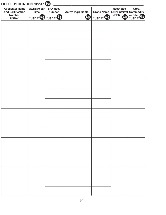| FIELD ID/LOCATION "USDA" (5):<br><b>Applicator Name</b><br>and Certification<br><b>Number</b><br>"USDA" | Mo/Day/Year<br><b>Time</b><br>"USDA" <sup>Va</sup> "USDA" <sup>Va</sup> | EPA Reg.<br><b>Number</b> | <b>Active Ingredients</b><br>$\Psi$ a | <b>Brand Name</b><br>"USDA" | <b>Restricted</b><br><b>Entry Interval Commodity</b><br>(REI)<br>Ua | Crop,<br>or Site<br>"USDA" |
|---------------------------------------------------------------------------------------------------------|-------------------------------------------------------------------------|---------------------------|---------------------------------------|-----------------------------|---------------------------------------------------------------------|----------------------------|
|                                                                                                         |                                                                         |                           |                                       |                             |                                                                     |                            |
|                                                                                                         |                                                                         |                           |                                       |                             |                                                                     |                            |
|                                                                                                         |                                                                         |                           |                                       |                             |                                                                     |                            |
|                                                                                                         |                                                                         |                           |                                       |                             |                                                                     |                            |
|                                                                                                         |                                                                         |                           |                                       |                             |                                                                     |                            |
|                                                                                                         |                                                                         |                           |                                       |                             |                                                                     |                            |
|                                                                                                         |                                                                         |                           |                                       |                             |                                                                     |                            |
|                                                                                                         |                                                                         |                           |                                       |                             |                                                                     |                            |
|                                                                                                         |                                                                         |                           |                                       |                             |                                                                     |                            |
|                                                                                                         |                                                                         |                           |                                       |                             |                                                                     |                            |
|                                                                                                         |                                                                         |                           |                                       |                             |                                                                     |                            |
|                                                                                                         |                                                                         |                           |                                       |                             |                                                                     |                            |
|                                                                                                         |                                                                         |                           |                                       |                             |                                                                     |                            |
|                                                                                                         |                                                                         |                           |                                       |                             |                                                                     |                            |
|                                                                                                         |                                                                         |                           |                                       |                             |                                                                     |                            |
|                                                                                                         |                                                                         |                           |                                       |                             |                                                                     |                            |
|                                                                                                         |                                                                         |                           |                                       |                             |                                                                     |                            |
|                                                                                                         |                                                                         |                           |                                       |                             |                                                                     |                            |
|                                                                                                         |                                                                         |                           |                                       |                             |                                                                     |                            |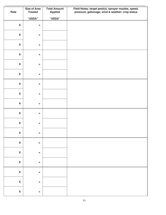| Rate                      | <b>Size of Area</b><br><b>Treated</b> | <b>Total Amount</b><br><b>Applied</b> | Field Notes: target pest(s); sprayer nozzles, speed,<br>pressure, gallonage; wind & weather; crop status |
|---------------------------|---------------------------------------|---------------------------------------|----------------------------------------------------------------------------------------------------------|
|                           | "USDA"                                | "USDA"                                |                                                                                                          |
| $\boldsymbol{\mathsf{X}}$ | $\equiv$                              |                                       |                                                                                                          |
| $\pmb{\mathsf{X}}$        | $\equiv$                              |                                       |                                                                                                          |
| $\boldsymbol{\mathsf{X}}$ | $\equiv$                              |                                       |                                                                                                          |
| $\boldsymbol{\mathsf{X}}$ | $\equiv$                              |                                       |                                                                                                          |
| $\boldsymbol{\mathsf{X}}$ | $\equiv$                              |                                       |                                                                                                          |
| $\boldsymbol{\mathsf{X}}$ | $\equiv$                              |                                       |                                                                                                          |
| $\boldsymbol{\mathsf{X}}$ | $\equiv$                              |                                       |                                                                                                          |
| $\boldsymbol{\mathsf{X}}$ | $\equiv$                              |                                       |                                                                                                          |
| $\boldsymbol{\mathsf{X}}$ | $\equiv$                              |                                       |                                                                                                          |
| $\boldsymbol{\mathsf{X}}$ | $\equiv$                              |                                       |                                                                                                          |
| $\boldsymbol{\mathsf{X}}$ | $\,=\,$                               |                                       |                                                                                                          |
| $\pmb{\mathsf{X}}$        | $\,=\,$                               |                                       |                                                                                                          |
| $\mathbf{X}$              | $\equiv$                              |                                       |                                                                                                          |
| $\mathbf x$               | $\equiv$                              |                                       |                                                                                                          |
| $\mathbf x$               | $\equiv$                              |                                       |                                                                                                          |
| $\mathbf{X}$              | $\equiv$                              |                                       |                                                                                                          |
| $\pmb{\mathsf{X}}$        | $\equiv$                              |                                       |                                                                                                          |
| $\mathbf x$               | $\, =$                                |                                       |                                                                                                          |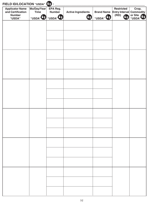| FIELD ID/LOCATION "USDA" (5):<br><b>Applicator Name</b><br>and Certification<br><b>Number</b><br>"USDA" | Mo/Day/Year<br>Time<br>"USDA" VO "USDA" VO | EPA Reg.<br><b>Number</b> | <b>Active Ingredients</b><br>Ua) | <b>Brand Name</b><br>"USDA" US | <b>Restricted</b><br>Entry Interval Commodity<br>(REI)<br>Ua | Crop,<br>or Site<br>"USDA" |
|---------------------------------------------------------------------------------------------------------|--------------------------------------------|---------------------------|----------------------------------|--------------------------------|--------------------------------------------------------------|----------------------------|
|                                                                                                         |                                            |                           |                                  |                                |                                                              |                            |
|                                                                                                         |                                            |                           |                                  |                                |                                                              |                            |
|                                                                                                         |                                            |                           |                                  |                                |                                                              |                            |
|                                                                                                         |                                            |                           |                                  |                                |                                                              |                            |
|                                                                                                         |                                            |                           |                                  |                                |                                                              |                            |
|                                                                                                         |                                            |                           |                                  |                                |                                                              |                            |
|                                                                                                         |                                            |                           |                                  |                                |                                                              |                            |
|                                                                                                         |                                            |                           |                                  |                                |                                                              |                            |
|                                                                                                         |                                            |                           |                                  |                                |                                                              |                            |
|                                                                                                         |                                            |                           |                                  |                                |                                                              |                            |
|                                                                                                         |                                            |                           |                                  |                                |                                                              |                            |
|                                                                                                         |                                            |                           |                                  |                                |                                                              |                            |
|                                                                                                         |                                            |                           |                                  |                                |                                                              |                            |
|                                                                                                         |                                            |                           |                                  |                                |                                                              |                            |
|                                                                                                         |                                            |                           |                                  |                                |                                                              |                            |
|                                                                                                         |                                            |                           |                                  |                                |                                                              |                            |
|                                                                                                         |                                            |                           |                                  |                                |                                                              |                            |
|                                                                                                         |                                            |                           |                                  |                                |                                                              |                            |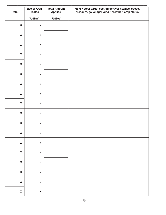| <b>Size of Area</b><br><b>Total Amount</b><br>Field Notes: target pest(s); sprayer nozzles, speed,<br>Rate<br><b>Treated</b><br>pressure, gallonage; wind & weather; crop status<br><b>Applied</b><br>"USDA"<br><b>"USDA"</b><br>$\boldsymbol{\mathsf{X}}$<br>$\equiv$<br>$\boldsymbol{\mathsf{X}}$<br>$\equiv$<br>$\boldsymbol{\mathsf{X}}$<br>$\equiv$<br>$\boldsymbol{\mathsf{X}}$<br>$\equiv$<br>$\boldsymbol{\mathsf{X}}$<br>$\equiv$<br>$\boldsymbol{\mathsf{X}}$<br>$\equiv$<br>$\boldsymbol{\mathsf{X}}$<br>$\equiv$<br>$\boldsymbol{\mathsf{X}}$<br>$\equiv$<br>$\pmb{\mathsf{X}}$<br>$\,=\,$ |  |
|--------------------------------------------------------------------------------------------------------------------------------------------------------------------------------------------------------------------------------------------------------------------------------------------------------------------------------------------------------------------------------------------------------------------------------------------------------------------------------------------------------------------------------------------------------------------------------------------------------|--|
|                                                                                                                                                                                                                                                                                                                                                                                                                                                                                                                                                                                                        |  |
|                                                                                                                                                                                                                                                                                                                                                                                                                                                                                                                                                                                                        |  |
|                                                                                                                                                                                                                                                                                                                                                                                                                                                                                                                                                                                                        |  |
|                                                                                                                                                                                                                                                                                                                                                                                                                                                                                                                                                                                                        |  |
|                                                                                                                                                                                                                                                                                                                                                                                                                                                                                                                                                                                                        |  |
|                                                                                                                                                                                                                                                                                                                                                                                                                                                                                                                                                                                                        |  |
|                                                                                                                                                                                                                                                                                                                                                                                                                                                                                                                                                                                                        |  |
|                                                                                                                                                                                                                                                                                                                                                                                                                                                                                                                                                                                                        |  |
|                                                                                                                                                                                                                                                                                                                                                                                                                                                                                                                                                                                                        |  |
|                                                                                                                                                                                                                                                                                                                                                                                                                                                                                                                                                                                                        |  |
|                                                                                                                                                                                                                                                                                                                                                                                                                                                                                                                                                                                                        |  |
|                                                                                                                                                                                                                                                                                                                                                                                                                                                                                                                                                                                                        |  |
|                                                                                                                                                                                                                                                                                                                                                                                                                                                                                                                                                                                                        |  |
|                                                                                                                                                                                                                                                                                                                                                                                                                                                                                                                                                                                                        |  |
|                                                                                                                                                                                                                                                                                                                                                                                                                                                                                                                                                                                                        |  |
|                                                                                                                                                                                                                                                                                                                                                                                                                                                                                                                                                                                                        |  |
| $\boldsymbol{\mathsf{X}}$<br>$\equiv$                                                                                                                                                                                                                                                                                                                                                                                                                                                                                                                                                                  |  |
| $\boldsymbol{\mathsf{X}}$                                                                                                                                                                                                                                                                                                                                                                                                                                                                                                                                                                              |  |
| $\equiv$                                                                                                                                                                                                                                                                                                                                                                                                                                                                                                                                                                                               |  |
| $\pmb{\mathsf{X}}$<br>$\,=\,$                                                                                                                                                                                                                                                                                                                                                                                                                                                                                                                                                                          |  |
| $\pmb{\mathsf{X}}$<br>$\equiv$                                                                                                                                                                                                                                                                                                                                                                                                                                                                                                                                                                         |  |
|                                                                                                                                                                                                                                                                                                                                                                                                                                                                                                                                                                                                        |  |
| $\pmb{\mathsf{X}}$<br>$\equiv$                                                                                                                                                                                                                                                                                                                                                                                                                                                                                                                                                                         |  |
| $\pmb{\mathsf{X}}$<br>$\equiv$                                                                                                                                                                                                                                                                                                                                                                                                                                                                                                                                                                         |  |
|                                                                                                                                                                                                                                                                                                                                                                                                                                                                                                                                                                                                        |  |
| $\pmb{\mathsf{X}}$<br>$\equiv$                                                                                                                                                                                                                                                                                                                                                                                                                                                                                                                                                                         |  |
|                                                                                                                                                                                                                                                                                                                                                                                                                                                                                                                                                                                                        |  |
| $\pmb{\mathsf{X}}$<br>$\equiv$                                                                                                                                                                                                                                                                                                                                                                                                                                                                                                                                                                         |  |
| $\pmb{\mathsf{X}}$<br>$\hspace{1.6cm} = \hspace{1.6cm}$                                                                                                                                                                                                                                                                                                                                                                                                                                                                                                                                                |  |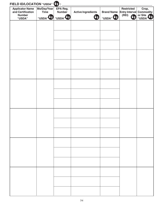| <b>Applicator Name</b><br>and Certification<br><b>Number</b><br>"USDA" | Mo/Day/Year<br><b>Time</b><br>"USDA" <sup>4</sup> | EPA Reg.<br><b>Number</b><br>"USDA" | <b>Active Ingredients</b><br>Ua | <b>Brand Name</b><br>"USDA" <sup>I</sup> <sup>®</sup> | <b>Restricted</b><br><b>Entry Interval</b><br>(REI) | Crop,<br><b>Commodity</b><br>or Site<br>"USDA" |
|------------------------------------------------------------------------|---------------------------------------------------|-------------------------------------|---------------------------------|-------------------------------------------------------|-----------------------------------------------------|------------------------------------------------|
|                                                                        |                                                   |                                     |                                 |                                                       |                                                     |                                                |
|                                                                        |                                                   |                                     |                                 |                                                       |                                                     |                                                |
|                                                                        |                                                   |                                     |                                 |                                                       |                                                     |                                                |
|                                                                        |                                                   |                                     |                                 |                                                       |                                                     |                                                |
|                                                                        |                                                   |                                     |                                 |                                                       |                                                     |                                                |
|                                                                        |                                                   |                                     |                                 |                                                       |                                                     |                                                |
|                                                                        |                                                   |                                     |                                 |                                                       |                                                     |                                                |
|                                                                        |                                                   |                                     |                                 |                                                       |                                                     |                                                |
|                                                                        |                                                   |                                     |                                 |                                                       |                                                     |                                                |
|                                                                        |                                                   |                                     |                                 |                                                       |                                                     |                                                |
|                                                                        |                                                   |                                     |                                 |                                                       |                                                     |                                                |
|                                                                        |                                                   |                                     |                                 |                                                       |                                                     |                                                |
|                                                                        |                                                   |                                     |                                 |                                                       |                                                     |                                                |
|                                                                        |                                                   |                                     |                                 |                                                       |                                                     |                                                |
|                                                                        |                                                   |                                     |                                 |                                                       |                                                     |                                                |
|                                                                        |                                                   |                                     |                                 |                                                       |                                                     |                                                |
|                                                                        |                                                   |                                     |                                 |                                                       |                                                     |                                                |
|                                                                        |                                                   |                                     |                                 |                                                       |                                                     |                                                |
|                                                                        |                                                   |                                     |                                 |                                                       |                                                     |                                                |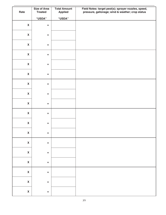|                           | <b>Size of Area</b> | <b>Total Amount</b> | Field Notes: target pest(s); sprayer nozzles, speed, |
|---------------------------|---------------------|---------------------|------------------------------------------------------|
| Rate                      | <b>Treated</b>      | <b>Applied</b>      | pressure, gallonage; wind & weather; crop status     |
|                           | "USDA"              | "USDA"              |                                                      |
| $\boldsymbol{\mathsf{X}}$ | $\equiv$            |                     |                                                      |
|                           |                     |                     |                                                      |
| $\boldsymbol{\mathsf{X}}$ | $\equiv$            |                     |                                                      |
|                           |                     |                     |                                                      |
| $\boldsymbol{\mathsf{X}}$ | $\equiv$            |                     |                                                      |
| $\boldsymbol{\mathsf{X}}$ | $\equiv$            |                     |                                                      |
|                           |                     |                     |                                                      |
| $\boldsymbol{\mathsf{X}}$ | $\equiv$            |                     |                                                      |
|                           |                     |                     |                                                      |
| $\boldsymbol{\mathsf{X}}$ | $\equiv$            |                     |                                                      |
| $\boldsymbol{\mathsf{X}}$ | $\equiv$            |                     |                                                      |
|                           |                     |                     |                                                      |
| $\boldsymbol{\mathsf{X}}$ | $\equiv$            |                     |                                                      |
|                           |                     |                     |                                                      |
| $\boldsymbol{\mathsf{X}}$ | $\equiv$            |                     |                                                      |
| $\boldsymbol{\mathsf{X}}$ | $\equiv$            |                     |                                                      |
|                           |                     |                     |                                                      |
| $\boldsymbol{\mathsf{X}}$ | $\equiv$            |                     |                                                      |
|                           |                     |                     |                                                      |
| $\pmb{\mathsf{X}}$        | $\equiv$            |                     |                                                      |
| $\pmb{\mathsf{X}}$        | $\quad \  \  =$     |                     |                                                      |
|                           |                     |                     |                                                      |
| $\pmb{\mathsf{X}}$        | $\quad \  \  =$     |                     |                                                      |
|                           |                     |                     |                                                      |
| $\pmb{\mathsf{X}}$        | $\quad \  \  =$     |                     |                                                      |
| $\pmb{\mathsf{X}}$        | $\quad \  \  =$     |                     |                                                      |
|                           |                     |                     |                                                      |
| $\pmb{\mathsf{X}}$        | $\quad \  \  =$     |                     |                                                      |
|                           |                     |                     |                                                      |
| $\pmb{\mathsf{X}}$        | $\equiv$            |                     |                                                      |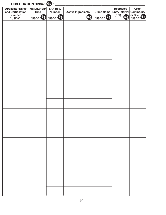| <b>Applicator Name</b><br>and Certification<br><b>Number</b><br>"USDA" | Mo/Day/Year<br><b>Time</b><br>"USDA" <sup>V</sup> 3 "USDA" <sup>V</sup> 3 | EPA Reg.<br><b>Number</b> | <b>Active Ingredients</b><br><b>Ua</b> | <b>Brand Name</b><br>"USDA" | <b>Restricted</b><br>Entry Interval Commodity<br>(REI)<br>Ua | Crop,<br>or Site<br>"USDA" |
|------------------------------------------------------------------------|---------------------------------------------------------------------------|---------------------------|----------------------------------------|-----------------------------|--------------------------------------------------------------|----------------------------|
|                                                                        |                                                                           |                           |                                        |                             |                                                              |                            |
|                                                                        |                                                                           |                           |                                        |                             |                                                              |                            |
|                                                                        |                                                                           |                           |                                        |                             |                                                              |                            |
|                                                                        |                                                                           |                           |                                        |                             |                                                              |                            |
|                                                                        |                                                                           |                           |                                        |                             |                                                              |                            |
|                                                                        |                                                                           |                           |                                        |                             |                                                              |                            |
|                                                                        |                                                                           |                           |                                        |                             |                                                              |                            |
|                                                                        |                                                                           |                           |                                        |                             |                                                              |                            |
|                                                                        |                                                                           |                           |                                        |                             |                                                              |                            |
|                                                                        |                                                                           |                           |                                        |                             |                                                              |                            |
|                                                                        |                                                                           |                           |                                        |                             |                                                              |                            |
|                                                                        |                                                                           |                           |                                        |                             |                                                              |                            |
|                                                                        |                                                                           |                           |                                        |                             |                                                              |                            |
|                                                                        |                                                                           |                           |                                        |                             |                                                              |                            |
|                                                                        |                                                                           |                           |                                        |                             |                                                              |                            |
|                                                                        |                                                                           |                           |                                        |                             |                                                              |                            |
|                                                                        |                                                                           |                           |                                        |                             |                                                              |                            |
|                                                                        |                                                                           |                           |                                        |                             |                                                              |                            |
|                                                                        |                                                                           |                           |                                        |                             |                                                              |                            |
|                                                                        |                                                                           |                           |                                        |                             |                                                              |                            |
|                                                                        |                                                                           |                           |                                        |                             |                                                              |                            |
|                                                                        |                                                                           |                           |                                        |                             |                                                              |                            |
|                                                                        |                                                                           |                           |                                        |                             |                                                              |                            |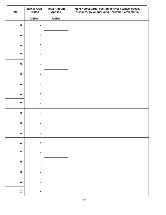| <b>Size of Area</b><br><b>Total Amount</b><br>Field Notes: target pest(s); sprayer nozzles, speed,<br>Rate<br><b>Treated</b><br>pressure, gallonage; wind & weather; crop status<br><b>Applied</b><br>"USDA"<br><b>"USDA"</b><br>$\boldsymbol{\mathsf{X}}$<br>$\equiv$<br>$\boldsymbol{\mathsf{X}}$<br>$\equiv$<br>$\boldsymbol{\mathsf{X}}$<br>$\equiv$<br>$\boldsymbol{\mathsf{X}}$<br>$\equiv$<br>$\boldsymbol{\mathsf{X}}$<br>$\equiv$<br>$\boldsymbol{\mathsf{X}}$<br>$\equiv$<br>$\boldsymbol{\mathsf{X}}$<br>$\equiv$<br>$\boldsymbol{\mathsf{X}}$<br>$\equiv$<br>$\pmb{\mathsf{X}}$<br>$\,=\,$ |  |
|--------------------------------------------------------------------------------------------------------------------------------------------------------------------------------------------------------------------------------------------------------------------------------------------------------------------------------------------------------------------------------------------------------------------------------------------------------------------------------------------------------------------------------------------------------------------------------------------------------|--|
|                                                                                                                                                                                                                                                                                                                                                                                                                                                                                                                                                                                                        |  |
|                                                                                                                                                                                                                                                                                                                                                                                                                                                                                                                                                                                                        |  |
|                                                                                                                                                                                                                                                                                                                                                                                                                                                                                                                                                                                                        |  |
|                                                                                                                                                                                                                                                                                                                                                                                                                                                                                                                                                                                                        |  |
|                                                                                                                                                                                                                                                                                                                                                                                                                                                                                                                                                                                                        |  |
|                                                                                                                                                                                                                                                                                                                                                                                                                                                                                                                                                                                                        |  |
|                                                                                                                                                                                                                                                                                                                                                                                                                                                                                                                                                                                                        |  |
|                                                                                                                                                                                                                                                                                                                                                                                                                                                                                                                                                                                                        |  |
|                                                                                                                                                                                                                                                                                                                                                                                                                                                                                                                                                                                                        |  |
|                                                                                                                                                                                                                                                                                                                                                                                                                                                                                                                                                                                                        |  |
|                                                                                                                                                                                                                                                                                                                                                                                                                                                                                                                                                                                                        |  |
|                                                                                                                                                                                                                                                                                                                                                                                                                                                                                                                                                                                                        |  |
|                                                                                                                                                                                                                                                                                                                                                                                                                                                                                                                                                                                                        |  |
|                                                                                                                                                                                                                                                                                                                                                                                                                                                                                                                                                                                                        |  |
|                                                                                                                                                                                                                                                                                                                                                                                                                                                                                                                                                                                                        |  |
|                                                                                                                                                                                                                                                                                                                                                                                                                                                                                                                                                                                                        |  |
| $\boldsymbol{\mathsf{X}}$<br>$\equiv$                                                                                                                                                                                                                                                                                                                                                                                                                                                                                                                                                                  |  |
| $\boldsymbol{\mathsf{X}}$                                                                                                                                                                                                                                                                                                                                                                                                                                                                                                                                                                              |  |
| $\equiv$                                                                                                                                                                                                                                                                                                                                                                                                                                                                                                                                                                                               |  |
| $\pmb{\mathsf{X}}$<br>$\,=\,$                                                                                                                                                                                                                                                                                                                                                                                                                                                                                                                                                                          |  |
| $\pmb{\mathsf{X}}$<br>$\equiv$                                                                                                                                                                                                                                                                                                                                                                                                                                                                                                                                                                         |  |
|                                                                                                                                                                                                                                                                                                                                                                                                                                                                                                                                                                                                        |  |
| $\pmb{\mathsf{X}}$<br>$\equiv$                                                                                                                                                                                                                                                                                                                                                                                                                                                                                                                                                                         |  |
| $\pmb{\mathsf{X}}$<br>$\equiv$                                                                                                                                                                                                                                                                                                                                                                                                                                                                                                                                                                         |  |
|                                                                                                                                                                                                                                                                                                                                                                                                                                                                                                                                                                                                        |  |
| $\pmb{\mathsf{X}}$<br>$\equiv$                                                                                                                                                                                                                                                                                                                                                                                                                                                                                                                                                                         |  |
|                                                                                                                                                                                                                                                                                                                                                                                                                                                                                                                                                                                                        |  |
| $\pmb{\mathsf{X}}$<br>$\equiv$                                                                                                                                                                                                                                                                                                                                                                                                                                                                                                                                                                         |  |
| $\pmb{\mathsf{X}}$<br>$\hspace{1.6cm} = \hspace{1.6cm}$                                                                                                                                                                                                                                                                                                                                                                                                                                                                                                                                                |  |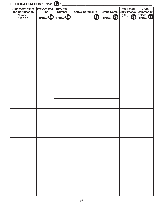| <b>Applicator Name</b><br>and Certification<br><b>Number</b><br>"USDA" | Mo/Day/Year<br><b>Time</b><br>"USDA" <sup>4</sup> | EPA Reg.<br><b>Number</b><br>"USDA" | <b>Active Ingredients</b><br>Ua | <b>Brand Name</b><br>"USDA" <sup>I</sup> <sup>®</sup> | <b>Restricted</b><br><b>Entry Interval</b><br>(REI) | Crop,<br><b>Commodity</b><br>or Site<br>"USDA" |
|------------------------------------------------------------------------|---------------------------------------------------|-------------------------------------|---------------------------------|-------------------------------------------------------|-----------------------------------------------------|------------------------------------------------|
|                                                                        |                                                   |                                     |                                 |                                                       |                                                     |                                                |
|                                                                        |                                                   |                                     |                                 |                                                       |                                                     |                                                |
|                                                                        |                                                   |                                     |                                 |                                                       |                                                     |                                                |
|                                                                        |                                                   |                                     |                                 |                                                       |                                                     |                                                |
|                                                                        |                                                   |                                     |                                 |                                                       |                                                     |                                                |
|                                                                        |                                                   |                                     |                                 |                                                       |                                                     |                                                |
|                                                                        |                                                   |                                     |                                 |                                                       |                                                     |                                                |
|                                                                        |                                                   |                                     |                                 |                                                       |                                                     |                                                |
|                                                                        |                                                   |                                     |                                 |                                                       |                                                     |                                                |
|                                                                        |                                                   |                                     |                                 |                                                       |                                                     |                                                |
|                                                                        |                                                   |                                     |                                 |                                                       |                                                     |                                                |
|                                                                        |                                                   |                                     |                                 |                                                       |                                                     |                                                |
|                                                                        |                                                   |                                     |                                 |                                                       |                                                     |                                                |
|                                                                        |                                                   |                                     |                                 |                                                       |                                                     |                                                |
|                                                                        |                                                   |                                     |                                 |                                                       |                                                     |                                                |
|                                                                        |                                                   |                                     |                                 |                                                       |                                                     |                                                |
|                                                                        |                                                   |                                     |                                 |                                                       |                                                     |                                                |
|                                                                        |                                                   |                                     |                                 |                                                       |                                                     |                                                |
|                                                                        |                                                   |                                     |                                 |                                                       |                                                     |                                                |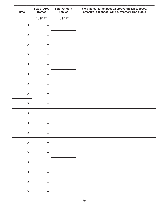| Rate                      | <b>Size of Area</b><br><b>Treated</b> | <b>Total Amount</b><br><b>Applied</b> | Field Notes: target pest(s); sprayer nozzles, speed,<br>pressure, gallonage; wind & weather; crop status |
|---------------------------|---------------------------------------|---------------------------------------|----------------------------------------------------------------------------------------------------------|
|                           | "USDA"                                | "USDA"                                |                                                                                                          |
| $\boldsymbol{\mathsf{X}}$ | $\equiv$                              |                                       |                                                                                                          |
| $\boldsymbol{\mathsf{X}}$ | $\equiv$                              |                                       |                                                                                                          |
| $\boldsymbol{\mathsf{X}}$ | $\equiv$                              |                                       |                                                                                                          |
| $\boldsymbol{\mathsf{X}}$ | $\equiv$                              |                                       |                                                                                                          |
| $\boldsymbol{\mathsf{X}}$ | $\equiv$                              |                                       |                                                                                                          |
| $\boldsymbol{\mathsf{X}}$ | $\equiv$                              |                                       |                                                                                                          |
| $\boldsymbol{\mathsf{X}}$ | $\equiv$                              |                                       |                                                                                                          |
| $\boldsymbol{\mathsf{X}}$ | $\equiv$                              |                                       |                                                                                                          |
| $\boldsymbol{\mathsf{X}}$ | $\equiv$                              |                                       |                                                                                                          |
| $\boldsymbol{\mathsf{X}}$ | $\equiv$                              |                                       |                                                                                                          |
| $\boldsymbol{\mathsf{X}}$ | $\equiv$                              |                                       |                                                                                                          |
| $\pmb{\mathsf{X}}$        | $\hspace{0.1cm} = \hspace{0.1cm}$     |                                       |                                                                                                          |
| $\pmb{\mathsf{X}}$        | $\quad \  \  =$                       |                                       |                                                                                                          |
| $\pmb{\mathsf{X}}$        | $\equiv$                              |                                       |                                                                                                          |
| $\pmb{\mathsf{X}}$        | $\quad \  \  =$                       |                                       |                                                                                                          |
| $\pmb{\mathsf{X}}$        | $\quad \  \  =$                       |                                       |                                                                                                          |
| $\mathbf{X}$              | $\quad \  \  =$                       |                                       |                                                                                                          |
| $\pmb{\mathsf{X}}$        | $\equiv$                              |                                       |                                                                                                          |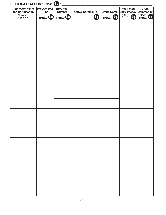| <b>Applicator Name</b><br>and Certification<br><b>Number</b><br>"USDA" | Mo/Day/Year<br><b>Time</b><br>"USDA" <sup>V</sup> | EPA Reg.<br><b>Number</b><br>"USDA" <sup>4</sup> | <b>Active Ingredients</b><br><b>Ua</b> | <b>Brand Name</b><br>"USDA" US | <b>Restricted</b><br><b>Entry Interval Commodity</b><br>(REI) | Crop,<br>or Site<br>"USDA" |
|------------------------------------------------------------------------|---------------------------------------------------|--------------------------------------------------|----------------------------------------|--------------------------------|---------------------------------------------------------------|----------------------------|
|                                                                        |                                                   |                                                  |                                        |                                |                                                               |                            |
|                                                                        |                                                   |                                                  |                                        |                                |                                                               |                            |
|                                                                        |                                                   |                                                  |                                        |                                |                                                               |                            |
|                                                                        |                                                   |                                                  |                                        |                                |                                                               |                            |
|                                                                        |                                                   |                                                  |                                        |                                |                                                               |                            |
|                                                                        |                                                   |                                                  |                                        |                                |                                                               |                            |
|                                                                        |                                                   |                                                  |                                        |                                |                                                               |                            |
|                                                                        |                                                   |                                                  |                                        |                                |                                                               |                            |
|                                                                        |                                                   |                                                  |                                        |                                |                                                               |                            |
|                                                                        |                                                   |                                                  |                                        |                                |                                                               |                            |
|                                                                        |                                                   |                                                  |                                        |                                |                                                               |                            |
|                                                                        |                                                   |                                                  |                                        |                                |                                                               |                            |
|                                                                        |                                                   |                                                  |                                        |                                |                                                               |                            |
|                                                                        |                                                   |                                                  |                                        |                                |                                                               |                            |
|                                                                        |                                                   |                                                  |                                        |                                |                                                               |                            |
|                                                                        |                                                   |                                                  |                                        |                                |                                                               |                            |
|                                                                        |                                                   |                                                  |                                        |                                |                                                               |                            |
|                                                                        |                                                   |                                                  |                                        |                                |                                                               |                            |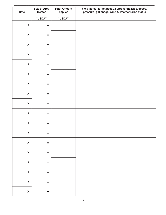|                           | <b>Size of Area</b> | <b>Total Amount</b> | Field Notes: target pest(s); sprayer nozzles, speed, |
|---------------------------|---------------------|---------------------|------------------------------------------------------|
| Rate                      | <b>Treated</b>      | <b>Applied</b>      | pressure, gallonage; wind & weather; crop status     |
|                           | "USDA"              | "USDA"              |                                                      |
| $\boldsymbol{\mathsf{X}}$ | $\equiv$            |                     |                                                      |
|                           |                     |                     |                                                      |
| $\boldsymbol{\mathsf{X}}$ | $\equiv$            |                     |                                                      |
|                           |                     |                     |                                                      |
| $\boldsymbol{\mathsf{X}}$ | $\equiv$            |                     |                                                      |
| $\boldsymbol{\mathsf{X}}$ | $\equiv$            |                     |                                                      |
|                           |                     |                     |                                                      |
| $\boldsymbol{\mathsf{X}}$ | $\equiv$            |                     |                                                      |
|                           |                     |                     |                                                      |
| $\boldsymbol{\mathsf{X}}$ | $\equiv$            |                     |                                                      |
| $\boldsymbol{\mathsf{X}}$ | $\equiv$            |                     |                                                      |
|                           |                     |                     |                                                      |
| $\boldsymbol{\mathsf{X}}$ | $\equiv$            |                     |                                                      |
|                           |                     |                     |                                                      |
| $\boldsymbol{\mathsf{X}}$ | $\equiv$            |                     |                                                      |
| $\boldsymbol{\mathsf{X}}$ | $\equiv$            |                     |                                                      |
|                           |                     |                     |                                                      |
| $\boldsymbol{\mathsf{X}}$ | $\equiv$            |                     |                                                      |
|                           |                     |                     |                                                      |
| $\pmb{\mathsf{X}}$        | $\equiv$            |                     |                                                      |
| $\pmb{\mathsf{X}}$        | $\quad \  \  =$     |                     |                                                      |
|                           |                     |                     |                                                      |
| $\pmb{\mathsf{X}}$        | $\quad \  \  =$     |                     |                                                      |
|                           |                     |                     |                                                      |
| $\pmb{\mathsf{X}}$        | $\quad \  \  =$     |                     |                                                      |
| $\pmb{\mathsf{X}}$        | $\quad \  \  =$     |                     |                                                      |
|                           |                     |                     |                                                      |
| $\pmb{\mathsf{X}}$        | $\quad \  \  =$     |                     |                                                      |
|                           |                     |                     |                                                      |
| $\pmb{\mathsf{X}}$        | $\equiv$            |                     |                                                      |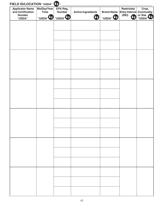| <b>Applicator Name</b><br>and Certification<br><b>Number</b><br>"USDA" | Mo/Day/Year<br><b>Time</b><br>"USDA" <sup>4</sup> | EPA Reg.<br><b>Number</b><br>"USDA" | <b>Active Ingredients</b><br>Ua | <b>Brand Name</b><br>"USDA" <sup>I</sup> <sup>®</sup> | <b>Restricted</b><br><b>Entry Interval</b><br>(REI) | Crop,<br><b>Commodity</b><br>or Site<br>"USDA" |
|------------------------------------------------------------------------|---------------------------------------------------|-------------------------------------|---------------------------------|-------------------------------------------------------|-----------------------------------------------------|------------------------------------------------|
|                                                                        |                                                   |                                     |                                 |                                                       |                                                     |                                                |
|                                                                        |                                                   |                                     |                                 |                                                       |                                                     |                                                |
|                                                                        |                                                   |                                     |                                 |                                                       |                                                     |                                                |
|                                                                        |                                                   |                                     |                                 |                                                       |                                                     |                                                |
|                                                                        |                                                   |                                     |                                 |                                                       |                                                     |                                                |
|                                                                        |                                                   |                                     |                                 |                                                       |                                                     |                                                |
|                                                                        |                                                   |                                     |                                 |                                                       |                                                     |                                                |
|                                                                        |                                                   |                                     |                                 |                                                       |                                                     |                                                |
|                                                                        |                                                   |                                     |                                 |                                                       |                                                     |                                                |
|                                                                        |                                                   |                                     |                                 |                                                       |                                                     |                                                |
|                                                                        |                                                   |                                     |                                 |                                                       |                                                     |                                                |
|                                                                        |                                                   |                                     |                                 |                                                       |                                                     |                                                |
|                                                                        |                                                   |                                     |                                 |                                                       |                                                     |                                                |
|                                                                        |                                                   |                                     |                                 |                                                       |                                                     |                                                |
|                                                                        |                                                   |                                     |                                 |                                                       |                                                     |                                                |
|                                                                        |                                                   |                                     |                                 |                                                       |                                                     |                                                |
|                                                                        |                                                   |                                     |                                 |                                                       |                                                     |                                                |
|                                                                        |                                                   |                                     |                                 |                                                       |                                                     |                                                |
|                                                                        |                                                   |                                     |                                 |                                                       |                                                     |                                                |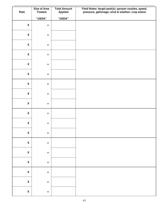|                           | <b>Size of Area</b> | <b>Total Amount</b> | Field Notes: target pest(s); sprayer nozzles, speed, |
|---------------------------|---------------------|---------------------|------------------------------------------------------|
| Rate                      | <b>Treated</b>      | <b>Applied</b>      | pressure, gallonage; wind & weather; crop status     |
|                           | "USDA"              | "USDA"              |                                                      |
| $\boldsymbol{\mathsf{X}}$ | $\equiv$            |                     |                                                      |
|                           |                     |                     |                                                      |
| $\boldsymbol{\mathsf{X}}$ | $\equiv$            |                     |                                                      |
|                           |                     |                     |                                                      |
| $\boldsymbol{\mathsf{X}}$ | $\equiv$            |                     |                                                      |
| $\boldsymbol{\mathsf{X}}$ | $\equiv$            |                     |                                                      |
|                           |                     |                     |                                                      |
| $\boldsymbol{\mathsf{X}}$ | $\equiv$            |                     |                                                      |
|                           |                     |                     |                                                      |
| $\boldsymbol{\mathsf{X}}$ | $\equiv$            |                     |                                                      |
| $\boldsymbol{\mathsf{X}}$ | $\equiv$            |                     |                                                      |
|                           |                     |                     |                                                      |
| $\boldsymbol{\mathsf{X}}$ | $\equiv$            |                     |                                                      |
|                           |                     |                     |                                                      |
| $\boldsymbol{\mathsf{X}}$ | $\equiv$            |                     |                                                      |
| $\boldsymbol{\mathsf{X}}$ | $\equiv$            |                     |                                                      |
|                           |                     |                     |                                                      |
| $\boldsymbol{\mathsf{X}}$ | $\equiv$            |                     |                                                      |
|                           |                     |                     |                                                      |
| $\pmb{\mathsf{X}}$        | $\equiv$            |                     |                                                      |
| $\pmb{\mathsf{X}}$        | $\quad \  \  =$     |                     |                                                      |
|                           |                     |                     |                                                      |
| $\pmb{\mathsf{X}}$        | $\quad \  \  =$     |                     |                                                      |
|                           |                     |                     |                                                      |
| $\pmb{\mathsf{X}}$        | $\quad \  \  =$     |                     |                                                      |
| $\pmb{\mathsf{X}}$        | $\quad \  \  =$     |                     |                                                      |
|                           |                     |                     |                                                      |
| $\pmb{\mathsf{X}}$        | $\quad \  \  =$     |                     |                                                      |
|                           |                     |                     |                                                      |
| $\pmb{\mathsf{X}}$        | $\equiv$            |                     |                                                      |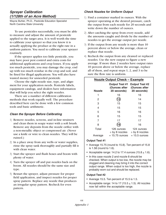#### *Sprayer Calibration (1/128th of an Acre Method)*

Wayne Buhler, Ph.D., Pesticide Education Specialist North Carolina State University

To use pesticides successfully, you must be able to measure and adjust the amount of pesticide applied to the target area. It is well worth the time to calibrate your sprayer so that you know it is actually applying the product at the right rate in a uniform pattern. You need to calibrate your sprayer routinely.

If the sprayer applies too little pesticide, you may have poor pest control and extra costs for additional applications and crop losses. If you apply too much pesticide, you may damage the crop, end up with too much residue in the crop and soil, and be fined for illegal applications. You will also have wasted money for unneeded pesticide.

Choose the right nozzle size, type, and alignment for your application needs. Pesticide labels, equipment catalogs, and dealers have information that will help you select the right nozzles.

There are a number of different calibration methods that work equally well. The procedure described here can be done with a few common tools and basic arithmetic.

#### *Clean the Sprayer Before Calibrating*

- 1) Remove nozzles, screens, and in-line strainers and clean them in soapy water with a soft brush. Remove any deposits from the nozzle orifice with a non-metallic object or compressed air. (Never use a knife or wire to clean nozzles. They will be ruined.)
- 2) In a place away from any wells or water supplies, rinse the spray tank thoroughly and partially fill it with clean water.
- 3) Start the sprayer and flush hoses and boom with plenty of water.
- 4) Turn the sprayer off and put nozzles back on the boom. All nozzles should be the same size and type.
- 5) Restart the sprayer, adjust pressure for proper field application, and inspect nozzles for proper spray pattern. Replace any nozzle that produces an irregular spray pattern. Recheck for even pattern.

#### *Check Nozzles for Uniform Output*

- 1) Find a container marked in ounces. With the sprayer operating at the desired pressure, catch the output from each nozzle for 20 seconds and write down the number of ounces.
- 2) After catching the spray from every nozzle, add the amounts caught and divide by the number of nozzles to get the average output per nozzle.
- 3) If the output from any nozzle is more than 10 percent above or below the average, clean or replace that nozzle.
- 4) Recheck the output from any cleaned or replaced nozzles. Use the new output to figure a new average. If more than 2 nozzles have output rates 10 percent above or below the average, replace all of them, and repeat steps 1, 2, and 3 to be sure the flow rate is uniform.

| <b>Nozzle Output Check - Example</b> |                |                                                                             |  |  |  |  |
|--------------------------------------|----------------|-----------------------------------------------------------------------------|--|--|--|--|
| <b>Nozzle</b>                        | 20 seconds)    | Output Test #1 Output Test #2<br>(Ounces after (Ounces after<br>20 seconds) |  |  |  |  |
| 1                                    | 16             | 16                                                                          |  |  |  |  |
| 2                                    | 13             | 14                                                                          |  |  |  |  |
| 3                                    | 15             | 15                                                                          |  |  |  |  |
| 4                                    | 15             | 15                                                                          |  |  |  |  |
| 5                                    | 16             | 16                                                                          |  |  |  |  |
| 6                                    | 15             | 15                                                                          |  |  |  |  |
| 7                                    | 17             | 17                                                                          |  |  |  |  |
| 8                                    | 19             | 16                                                                          |  |  |  |  |
| Total                                | 126 ounces     | 124 ounces<br>$\div$ by 8 nozzles $\div$ by 8 nozzles                       |  |  |  |  |
| Average                              | = 15.75 ounces | $= 15.5$ ounces                                                             |  |  |  |  |

#### **Output Test #1**

- Average 15.75 (round to 15.8). Ten percent of 15.8 is 1.58 (round to 1.6).
- Acceptable range: 14.2 to 17.4 ounces  $(15.8 \pm 1.6)$ .
- In this case nozzle 2 and nozzle 8 should be checked. When output is too low, the nozzle may be clogged and cleaning may bring it into the correct output range. When output is too high, the nozzle is probably worn out and should be replaced.

#### **Output Test #2**

- Average 15.5. Ten percent of 15.5 is 1.5.
- Acceptable range: 14 to 17 (15.5  $+$  1.5). All nozzles now fall within the acceptable range.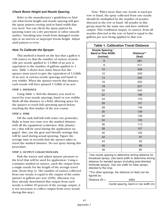#### *Check Boom Height and Nozzle Spacing*

Refer to the manufacturer's guidelines to find out what boom height and nozzle spacing will give the spray pattern overlap and/or band width that you need. You can check the spray pattern by spraying water on a dry pavement or other smooth surface. Streaking may result from damaged nozzle tips or an uneven or improper boom height. Adjust until pattern is even.

#### *How To Calibrate the Sprayer*

This method is based on the fact that a gallon is 128 ounces so that the number of ounces of pesticide per nozzle applied to 1/128th of an acre is equivalent to the number of gallons applied to 1 acre. Table 1 shows how many linear feet the sprayer must travel to give the equivalent of 1/128th of an acre at various nozzle spacings and band or row widths. When the sprayer travels this distance, each nozzle will have sprayed 1/128th of an acre.

#### **STEP 1: DISTANCE**

Using Table 1, find the distance you need to travel for your nozzle spacings, band or row widths. Mark off this distance in a field, allowing space for the sprayer to reach full operating speed before reaching the first marker of the test course.

#### **STEP 2: TIME**

Fill the tank half full with water (no pesticide). Make at least two runs over the marked distance with all the equipment (cultivator, disk, planter, etc.) that will be used during the application engaged. Also, use the gear and throttle settings that will be used during actual spraying. Figure the average time in seconds that the sprayer takes to travel the marked distance. Do not spray during this procedure.

#### **STEP 3: OUTPUT COLLECTION/GPA**

Park the tractor and adjust sprayer pressure to the level that will be used for application. Using a container marked in ounces, catch the output from a single nozzle for the length of the average travel time (from Step 2). The number of ounces collected from one nozzle is equal to the output of the entire sprayer in gallons per acre (GPA). (Because you have already determined that output from each nozzle is within 10 percent of the average output, it is not necessary to collect output from every nozzle during this step.)

Note: When more than one nozzle is used per row or band, the spray collected from one nozzle should be multiplied by the number of nozzles directed at the row or band. All nozzles in this group must be the same size and have uniform output. This combined output, in ounces, from all nozzles directed at the row or band is equal to the gallons per acre being applied to that row.

| <b>Table 1. Calibration Travel Distance</b>              |                      |  |  |  |  |
|----------------------------------------------------------|----------------------|--|--|--|--|
| Nozzle Spacing,*<br><b>Band or Row Width</b><br>(inches) | Distance**<br>(feet) |  |  |  |  |
| 6                                                        | 681                  |  |  |  |  |
| 8                                                        | 511                  |  |  |  |  |
| 10                                                       | 408                  |  |  |  |  |
| 12                                                       | 340                  |  |  |  |  |
| 14                                                       | 292                  |  |  |  |  |
| 16                                                       | 255                  |  |  |  |  |
| 18                                                       | 227                  |  |  |  |  |
| 20                                                       | 204                  |  |  |  |  |
| 22                                                       | 186                  |  |  |  |  |
| 24                                                       | 170                  |  |  |  |  |
| 26                                                       | 157                  |  |  |  |  |
| 28                                                       | 146                  |  |  |  |  |
| 30                                                       | 136                  |  |  |  |  |
| 32                                                       | 128                  |  |  |  |  |
| 34                                                       | 120                  |  |  |  |  |
| 36                                                       | 113                  |  |  |  |  |
| 38                                                       | 107                  |  |  |  |  |
| 40                                                       | 102                  |  |  |  |  |
| 42                                                       | 97                   |  |  |  |  |
| 44                                                       | 93                   |  |  |  |  |
| 46                                                       | 89                   |  |  |  |  |
| 48                                                       | 85                   |  |  |  |  |

\*Use nozzle spacing to determine driving distance for broadcast sprays. Use band width to determine driving distance for banded sprays (including post-directed herbicide sprays). Use row width for foliar sprays directed to the crop.

\*\*For other spacings, the distance (in feet) can be figured as:

Distance  $(ft) =$  4084

nozzle spacing, band or row width (in)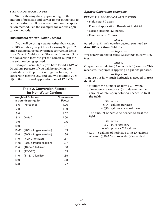#### **STEP 4: HOW MUCH TO USE**

After calibrating the equipment, figure the amount of pesticide and carrier to put in the tank to get the desired application rate based on the application method. See the examples for various application methods.

#### *Adjustments for Non-Water Carriers*

If you will be using a carrier other than water, the GPA number you get from following Steps 1, 2, and 3 can be adjusted by using a conversion factor from Table 2. Multiply the GPA value from Step 3 by the conversion factor to get the correct output for the solution being sprayed.

Example: From Step 3, you have found a GPA of 20 gallons per acre. If you will be applying the pesticide with 28 percent nitrogen solution, the conversion factor is .89, and you will multiple 20 x .89 to find an actual application rate of 17.8 GPA.

| <b>Table 2. Conversion Factors</b><br>for Non-Water Carriers |                         |               |  |  |  |  |
|--------------------------------------------------------------|-------------------------|---------------|--|--|--|--|
| <b>Conversion</b><br><b>Weight of Solution</b>               |                         |               |  |  |  |  |
|                                                              | in pounds per gallon    | <b>Factor</b> |  |  |  |  |
| 6.6                                                          | (kerosene)              | 1.26          |  |  |  |  |
| 7.0                                                          |                         | 1.09          |  |  |  |  |
| 8.0                                                          |                         | 1.02          |  |  |  |  |
| 8.34                                                         | (water)                 | 1.00          |  |  |  |  |
| 9.0                                                          |                         | .96           |  |  |  |  |
| 10.0                                                         |                         | .91           |  |  |  |  |
| 10.65                                                        | (28% nitrogen solution) | .89           |  |  |  |  |
| 10.8                                                         | (30% nitrogen solution) | .88           |  |  |  |  |
| 11.0                                                         | (7-27-7 fertilizer)     | .87           |  |  |  |  |
| 11.06                                                        | (32% nitrogen solution) | .87           |  |  |  |  |
| 11.4                                                         | $(10-34-0$ fertilizer)  | .86           |  |  |  |  |
| 11.5                                                         | $(12 - 0 - 26)$         | .85           |  |  |  |  |
| 11.6                                                         | $(11-37-0)$ fertilizer) | .85           |  |  |  |  |
| 12.0                                                         |                         | .83           |  |  |  |  |
| 14.0                                                         |                         | .77           |  |  |  |  |
|                                                              |                         |               |  |  |  |  |

#### *Sprayer Calibration Examples*

#### **EXAMPLE 1: BROADCAST APPLICATION**

- **•** Field size: 30 acres.
- **•** Planned application: Broadcast herbicide.
- **•** Nozzle spacing: 22 inches.
- **•** Rate per acre: 2 pints.

*— Step 1. —* Based on a 22-inch nozzle spacing, you need to drive 186 feet (from Table 1).

*— Step 2. —*

You determine that it takes 32 seconds to drive 186 feet.

$$
-Step 3.
$$

Output per nozzle for 32 seconds is 13 ounces. This means your sprayer is applying 13 gallons per acre.

#### *— Step 4. —*

To figure out how much herbicide is needed to treat the field:

• Multiply the number of acres (30) by the

gallons-per-acre output (13) to determine the amount of total spray solution needed to treat the field:

- 30 acres
- x 13 gallons per acre
- = 390 gallons spray solution.
- **•** The amount of herbicide needed to treat the field is:
	- 30 acres
	- x 2 pints per acre
	- $= 60$  pints or 7.5 gallons.
- **•** Add 7.5 gallons of herbicide to 382.5 gallons of water (390-7.5) to treat the 30-acre field.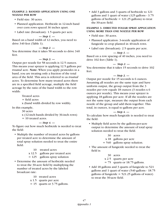#### **EXAMPLE 2: BANDED APPLICATION USING ONE NOZZLE PER ROW**

- **•** Field size: 30 acres.
- **•** Planned application: Herbicide in 12-inch band over corn rows spaced 36 inches apart.
- **•** Label rate (broadcast): 1.5 quarts per acre.

#### *— Step 1. —*

Based on a band width of 12 inches, you need to drive 340 feet (Table 1).

#### *— Step 2. —*

You determine that it takes 58 seconds to drive 340 feet.

#### *— Step 3. —*

Output per nozzle for 58 seconds is 12.5 ounces. This means your sprayer is applying 12.5 gallons per *treated* acre. **Note:** When you apply pesticides in a band, you are treating only a fraction of the total area of the field. This area is referred to as *treated* acres. To determine how many treated acres there are in a specified field acreage, multiply the field acreage by the ratio of the band width to the row width:

> Treated acres = field acres x (band width divided by row width).

In this example,

30 acres

- x (12-inch bands divided by 36-inch rows)
- = 10 treated acres.

#### *— Step 4. —*

To figure out how much herbicide is needed to treat the field:

- **•** Multiply the number of treated acres by gallons per treated acre to determine the amount of total spray solution needed to treat the entire field:
	- 10 treated acres
	- x 12.5 gallons per treated acre
	- $= 125$  gallons spray solution
- **•** Determine the amount of herbicide needed to treat the 30-acre field by multiplying the number of treated acres by the labeled broadcast rate:
	- 10 treated acres
	- x 1.5 quarts per acre
	- $= 15$  quarts or 3.75 gallons.

**•** Add 3 gallons and 3 quarts of herbicide to 121 gallons and 1 quart of water (125 gallons - 3.75 gallons of herbicide  $= 121.25$  gallons) to treat the 30-acre field.

#### **EXAMPLE 3: DIRECTED FOLIAR SPRAY APPLICATION USING MORE THAN ONE NOZZLE PER ROW**

- **•** Field size: 30 acres.
- **•** Planned application: 3-nozzle application of fungicide to crop planted in 40-inch rows.
- **•** Label rate (broadcast): 2.5 quarts per acre.

#### *— Step 1. —*

Based on a row spacing of 40 inches, you need to drive 102 feet (Table 1).

#### *— Step 2. —*

You determine that it takes 15 seconds to drive 102 feet.

#### *— Step 3. —*

Output per nozzle for 15 seconds is 6 ounces. Assuming all nozzles are the same type and have uniform output, the group output from the 3 nozzles per row equals 18 ounces (3 nozzles x 6 ounces per nozzle). This means your sprayer is applying 18 gallons per acre. If all the nozzles are not the same type, measure the output from each nozzle of the group and add them together. This total, in ounces, is equal to gallons per acre.

#### *— Step 4. —*

To calculate how much fungicide is needed to treat the field:

- **•** Multiply field acres by the gallons-per-acre output to determine the amount of total spray solution needed to treat the field.
	- 30 acres
	- x 18 gallons per acre
	- = 540 gallons spray solution.
- **•** The amount of fungicide needed to treat the field is:
	- 30 acres
	- x 2.5 quarts per acre
	- = 75 quarts or 18.75 gallons.
- **•** Add 18 gallons and 3 quarts of fungicide to 521 gallons and 1 quart of water (540 gallons - 18.75 gallons of fungicide  $= 521.25$  gallons of water) to treat the 30-acre field.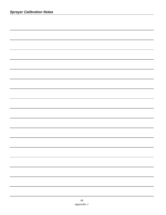| <u> 1989 - Andrea Santana, amerikana amerikana amerikana amerikana amerikana amerikana amerikana amerikana amerika</u> |
|------------------------------------------------------------------------------------------------------------------------|
|                                                                                                                        |
|                                                                                                                        |
|                                                                                                                        |
|                                                                                                                        |
|                                                                                                                        |
|                                                                                                                        |
|                                                                                                                        |
| a se de la construcción de la construcción de la construcción de la construcción de la construcción de la cons         |
| a series and the series of the series of the series of the series of the series of the series of the series of         |
| a series and the series of the series of the series of the series of the series of the series of the series of         |
|                                                                                                                        |
|                                                                                                                        |
|                                                                                                                        |
|                                                                                                                        |
|                                                                                                                        |
|                                                                                                                        |
|                                                                                                                        |
|                                                                                                                        |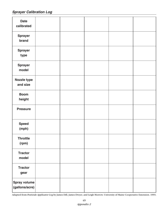*Sprayer Calibration Log*

| <b>Date</b><br>calibrated             |  |  |  |
|---------------------------------------|--|--|--|
| <b>Sprayer</b><br>brand               |  |  |  |
| <b>Sprayer</b><br>type                |  |  |  |
| <b>Sprayer</b><br>model               |  |  |  |
| Nozzle type<br>and size               |  |  |  |
| <b>Boom</b><br>height                 |  |  |  |
| <b>Pressure</b>                       |  |  |  |
| <b>Speed</b><br>(mph)                 |  |  |  |
| Throttle<br>(rpm)                     |  |  |  |
| <b>Tractor</b><br>model               |  |  |  |
| <b>Tractor</b><br>gear                |  |  |  |
| <b>Spray volume</b><br>(gallons/acre) |  |  |  |

Adapted from *Pesticide Applicator Log* by James Dill, James Dwyer, and Leigh Morrow. University of Maine Cooperative Extension. 1993.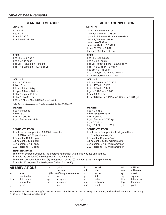#### *Table of Measurements*

ft ...........foot or feet g ...........gram

| <b>STANDARD MEASURE</b>                                                                                                                                                                                                                                                                                          |                                                                                                                                                                                      |                                                                                                                                                                                                                                                                                       | <b>METRIC CONVERSION</b>                                  |
|------------------------------------------------------------------------------------------------------------------------------------------------------------------------------------------------------------------------------------------------------------------------------------------------------------------|--------------------------------------------------------------------------------------------------------------------------------------------------------------------------------------|---------------------------------------------------------------------------------------------------------------------------------------------------------------------------------------------------------------------------------------------------------------------------------------|-----------------------------------------------------------|
| <b>LENGTH:</b>                                                                                                                                                                                                                                                                                                   |                                                                                                                                                                                      | <b>LENGTH:</b>                                                                                                                                                                                                                                                                        |                                                           |
| 1 ft = 12 in<br>$1 yd = 3 ft$<br>1 mi = $5,280$ ft<br>1 mph = $88 \text{ ft} / 1 \text{ min}$                                                                                                                                                                                                                    |                                                                                                                                                                                      | $1 in = 25.4 mm = 2.54 cm$<br>1 ft = $304.8$ mm = $30.48$ cm<br>$1 yd = 914.4$ mm = 91.44 cm = 0.914 m<br>$1 \text{ mi} = 1,609 \text{ m} = 1.61 \text{ km}$<br>1 mm = $0.03937$ in<br>1 cm = $0.394$ in = $0.0328$ ft<br>$1 m = 39.37 in = 3,281 ft$<br>$1 km = 3,281 ft = 0.621 mi$ |                                                           |
| AREA:<br>1 sq in = $0.007$ sq ft<br>1 sq ft = $144$ sq in<br>1 sq yd = 1,296 sq in = 9 sq ft<br>1 ac = $43,560$ sq ft = $4,840$ sq yd                                                                                                                                                                            |                                                                                                                                                                                      | <b>AREA:</b><br>1 sq in = $6.45$ sq cm<br>1 sq ft = $929$ sq cm<br>1 sq yd = $8,361$ sq cm = $0.8361$ sq m<br>1 ac = 4,050 sq m = $0.405$ h<br>1 sq $cm = 0.155$ sq in<br>1 sq $m = 1,550$ sq in = 10.76 sq ft<br>1 h = $107,600$ sq ft = 2.47 ac                                     |                                                           |
| <b>VOLUME:</b><br>1 tsp = $0.17$ fl oz<br>1 tbs = $3$ tsp<br>1 fl $oz = 2$ tbs = 6 tsp<br>1 $cup = 8$ fl $oz = 16$ tbs<br>1 pt = $2$ cups = $16$ fl oz<br>1 $qt = 2 pt = 32 ft oz$<br>1 gal = $4$ qt = $8$ pt = 128 fl oz = 231 cu in<br>Note: To convert liquid ounces to gallons, multiply by 0.0078125 (.008) |                                                                                                                                                                                      | <b>VOLUME:</b><br>1 fl $oz = 29.5$ ml = 0.0295 L<br>1 pt = 437 ml = $0.437$ L<br>1 qt = $945$ ml = 0.945 L<br>1 gal = $3,785$ ml = $3.785$ L<br>1 ml = $0.033$ fl oz                                                                                                                  | $1 L = 33.8$ fl oz = 2.112 pt = 1.057 qt = 0.264 gal      |
| <b>WEIGHT:</b><br>$1 oz = 0.0625 lb$<br>$1 lb = 16 oz$<br>1 ton = $2,000$ lb<br>1 gal of water = $8.34$ lb                                                                                                                                                                                                       |                                                                                                                                                                                      | <b>WEIGHT:</b><br>$1 oz = 28.35 g$<br>1 lb = $454$ g = 0.4536 kg<br>1 ton = $907$ kg<br>1 gal of water = $3.786$ kg<br>$1 g = 0.035 oz$<br>1 kg = $35.27$ oz = 2.205 lb                                                                                                               |                                                           |
| <b>CONCENTRATION:</b><br>1 part per million (ppm) = $0.00001$ percent =<br>0.013 oz in 100 gal of water<br>1 percent = $10,000$ ppm<br>$0.1$ percent = 1,000 ppm<br>$0.01$ percent = 100 ppm<br>$0.001$ percent = 10 ppm                                                                                         |                                                                                                                                                                                      | <b>CONCENTRATION:</b><br>1 part per million (ppm) = 1 milligram/liter =<br>1 milligram/kilogram<br>1 percent = $10$ grams/liter<br>0.1 percent = $1,000$ milligrams/liter<br>$0.01$ percent = 100 milligrams/liter<br>$0.001$ percent = 10 milligrams/liter                           |                                                           |
| <b>TEMPERATURE:</b><br>Example: 30 degrees $C = 86$ degrees F. (30 x 1.8 + 32).<br>Example: 50 degrees $F = 10$ degrees C (50 - 32 x 0.56).                                                                                                                                                                      | To convert degrees Celsius (C) to degrees Fahrenheit (F): multiply by 1.8 and add 32.<br>To convert degrees Fahrenheit (F) to degrees Celsius (C): subtract 32 and multiply by 0.56. |                                                                                                                                                                                                                                                                                       |                                                           |
| <b>ABBREVIATIONS</b>                                                                                                                                                                                                                                                                                             | gal  gallon                                                                                                                                                                          | Ib  pound                                                                                                                                                                                                                                                                             | ml  milliliter                                            |
| ac  acre<br>cm centimeter<br>fl oz fluid ounce                                                                                                                                                                                                                                                                   | h hectare<br>$(1h=10,000$ square meters)<br>in $\ldots$ inch<br>kg kilogram                                                                                                          | mi  mile<br>0Z Ounce<br>pt  pint<br>m meter                                                                                                                                                                                                                                           | mm  millimeter<br>qt quart<br>sq square<br>tbs tablespoon |

Adapted from *The Safe and Effective Use of Pesticides* by Patrick Marer, Mary Louise Flint, and Michael Stimmann. University of California. Publication 3324. 1988.

km ........ kilometer L ...........liter

mg ........ milligram min ....... minute

tsp ........teaspoon yd .........yard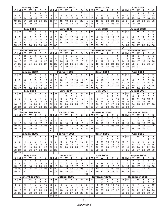|                | January 2003   |                 |                 |                |                |                | February 2003 |                |                   |                       |                |                |                | <b>March 2003</b> |                |               |                       |                |                |                | <b>April 2003</b> |                |                   |                   |                |                |                |  |
|----------------|----------------|-----------------|-----------------|----------------|----------------|----------------|---------------|----------------|-------------------|-----------------------|----------------|----------------|----------------|-------------------|----------------|---------------|-----------------------|----------------|----------------|----------------|-------------------|----------------|-------------------|-------------------|----------------|----------------|----------------|--|
| s              | M              | т               | W               | т              | F              | s              | s             | М              | т                 | w                     | т              | F              | s              | s                 | М              | т             | W                     | т              | F              | s              | s                 | м              | т                 | w                 | т              | F              | s              |  |
|                |                |                 | 1               | $\mathbf{2}$   | 3              | 4              |               |                |                   |                       |                |                | 1              |                   |                |               |                       |                |                | 1              |                   |                | $\mathbf{1}$      | 2                 | З              | 4              | 5              |  |
| 5              | 6              | 7               | 8               | 9              | 10             | 11             | 2             | З              | 4                 | 5                     | 6              | $\overline{7}$ | 8              | 2                 | 3              | 4             | 5                     | 6              | $\overline{7}$ | 8              | 6                 | 7              | 8                 | 9                 | 10             | 11             | 12             |  |
| 12             | 13             | 14              | 15              | 16             | 17             | 18             | 9             | 10             | 11                | 12                    | 13             | 14             | 15             | 9                 | 10             | 11            | 12                    | 13             | 14             | 15             | 13                | 14             | 15                | 16                | 17             | 18             | 19             |  |
| 19             | 20             | 21              | 22              | 23             | 24             | 25             | 16            | 17             | 18                | 19                    | 20             | 21             | 22             | 16                | 17             | 18            | 19                    | 20             | 21             | 22             | 20                | 21             | 22                | 23                | 24             | 25             | 26             |  |
| 26             | 27             | 28              | 29              | 30             | 31             |                | 23            | 24             | 25                | 26                    | 27             | 28             |                | 23                | 24             | 25            | 26                    | 27             | 28             | 29             | 27                | 28             | 29                | 30                |                |                |                |  |
|                |                |                 |                 |                |                |                |               |                |                   |                       |                |                |                | 30                | 31             |               |                       |                |                |                |                   |                |                   |                   |                |                |                |  |
|                |                |                 | <b>May 2003</b> |                |                |                |               |                |                   | <b>June 2003</b>      |                |                |                |                   |                |               | <b>July 2003</b>      |                |                |                |                   |                | August 2003       |                   |                |                |                |  |
| S              | M              | т               | W               | т              | F              | S              | s             | M              | т                 | W                     | т              | F              | S              | S                 | М              | т             | W                     | т              | F              | S              | s                 | М              | т                 | W                 | т              | F              | S              |  |
|                |                |                 |                 | 1              | $\overline{2}$ | 3              | 1             | $\overline{c}$ | 3                 | 4                     | 5              | 6              | 7              |                   |                | 1             | $\overline{2}$        | 3              | 4              | 5              |                   |                |                   |                   |                | 1              | 2              |  |
| 4              | 5              | 6               | 7               | 8              | 9              | 10             | 8             | 9              | 10                | 11                    | 12             | 13             | 14             | 6                 | 7              | 8             | 9                     | 10             | 11             | 12             | З                 | $\overline{4}$ | 5                 | 6                 | $\overline{7}$ | 8              | 9              |  |
| 11             | 12             | 13              | 14              | 15             | 16             | 17             | 15            | 16             | 17                | 18                    | 19             | 20             | 21             | 13                | 14             | 15            | 16                    | 17             | 18             | 19             | 10                | 11             | 12                | 13                | 14             | 15             | 16             |  |
| 18             | 19             | 20              | 21              | 22             | 23             | 24             | 22            | 23             | 24                | 25                    | 26             | 27             | 28             | 20                | 21             | 22            | 23                    | 24             | 25             | 26             | 17                | 18             | 19                | 20                | 21             | 22             | 23             |  |
| 25             | 26             | 27              | 28              | 29             | 30             | 31             | 29            | 30             |                   |                       |                |                |                | 27                | 28             | 29            | 30                    | 31             |                |                | 24                | 25             | 26                | 27                | 28             | 29             | 30             |  |
|                |                |                 |                 |                |                |                |               |                |                   |                       |                |                |                |                   |                |               |                       |                |                |                | 31                |                |                   |                   |                |                |                |  |
|                |                | September 2003  |                 |                |                |                |               |                | October 2003      |                       |                |                |                |                   |                |               | November 2003         |                |                |                |                   |                | December 2003     |                   |                |                |                |  |
| s              | м              | т               | W               | т              | F              | S              | s             | M              | т                 | W                     | T.             | F              | $\mathbf{s}$   | s                 | M              | т             | W                     | т              | F              | S              | s                 | M              | т                 | W                 | т              | F              | s              |  |
|                | 1              | $\overline{2}$  | 3               | $\overline{4}$ | 5              | 6              |               |                |                   | 1                     | 2              | 3              | $\overline{4}$ |                   |                |               |                       |                |                | $\mathbf{1}$   |                   | $\mathbf{1}$   | $\overline{2}$    | 3                 | 4              | 5              | 6              |  |
| $\overline{7}$ | 8              | 9               | 10              | 11             | 12             | 13             | 5             | 6              | 7                 | 8                     | 9              | 10             | 11             | 2                 | 3              | 4             | 5                     | 6              | 7              | 8              | 7                 | 8              | 9                 | 10                | 11             | 12             | 13             |  |
| 14             | 15             | 16              | 17              | 18             | 19             | 20             | 12            | 13             | 14                | 15                    | 16             | 17             | 18             | 9                 | 10             | 11            | 12                    | 13             | 14             | 15             | 14                | 15             | 16                | 17                | 18             | 19             | 20             |  |
| 21             | 22             | 23              | 24              | 25             | 26             | 27             | 19            | 20             | 21                | 22                    | 23             | 24             | 25             | 16                | 17             | 18            | 19                    | 20             | 21             | 22             | 21                | 22             | 23                | 24                | 25             | 26             | 27             |  |
| 28             | 29             | 30              |                 |                |                |                | 26            | 27             | 28                | 29                    | 30             | 31             |                | 23                | 24             | 25            | 26                    | 27             | 28             | 29             | 28                | 29             | 30                | 31                |                |                |                |  |
|                |                |                 |                 |                |                |                |               |                |                   |                       |                |                |                | 30                |                |               |                       |                |                |                |                   |                |                   |                   |                |                |                |  |
|                |                | January 2004    |                 |                |                |                |               |                | February 2004     |                       |                |                |                |                   |                |               | <b>March 2004</b>     |                |                |                |                   |                |                   | April 2004        |                |                |                |  |
| s              | М              | т               | W               | т              | F              | S              | s             | M              | т                 | W                     | т              | F              | S              | s                 | М              | т             | W                     | т              | F              | s              | s                 | М              | т                 | W                 | т              | Е              | s              |  |
|                |                |                 |                 | 1              | $\overline{2}$ | 3              | 1             | $\mathbf{2}$   | 3                 | 4                     | 5              | 6              | $\overline{7}$ |                   | 1              | 2             | 3                     | $\overline{4}$ | 5              | 6              |                   |                |                   |                   | $\mathbf{1}$   | $\overline{2}$ | 3              |  |
| 4              | 5              | 6               | 7               | 8              | 9              | 10             | 8             | 9              | 10                | 11                    | 12             | 13             | 14             | 7                 | 8              | 9             | 10                    | 11             | 12             | 13             | 4                 | 5              | 6                 | 7                 | 8              | 9              | 10             |  |
| 11             | 12             | 13              | 14              | 15             | 16             | 17             | 15            | 16             | 17                | 18                    | 19             | 20             | 21             | 14                | 15             | 16            | 17                    | 18             | 19             | 20             | 11                | 12             | 13                | 14                | 15             | 16             | 17             |  |
| 18             | 19             | 20              | 21              | 22             | 23             | 24             | 22            | 23             | 24                | 25                    | 26             | 27             | 28             | 21                | 22             | 23            | 24                    | 25             | 26             | 27             | 18                | 19             | 20                | 21                | 22             | 23             | 24             |  |
| 25             | 26             | 27              | 28              | 29             | 30             | 31             | 29            |                |                   |                       |                |                |                | 28                | 29             | 30            | 31                    |                |                |                | 25                | 26             | 27                | 28                | 29             | 30             |                |  |
|                |                |                 | <b>May 2004</b> |                |                |                |               |                |                   | <b>June 2004</b>      |                |                |                |                   |                |               | <b>July 2004</b>      |                |                |                |                   |                | August 2004       |                   |                |                |                |  |
| S              | М              | т               | W               | т              | F              | s              | s             | M              | т                 | W                     | т              | F              | s              | s                 | М              | т             | W                     | т              | F              | S              | s                 | М              | т                 | W                 | т              | F              | s              |  |
|                |                |                 |                 |                |                | $\mathbf{1}$   |               |                | 1                 | 2                     | 3              | 4              | 5              |                   |                |               |                       | 1              | 2              | 3              | 1                 | $\overline{2}$ | 3                 | 4                 | 5              | 6              | $\overline{7}$ |  |
| 2              | З              | 4               | 5               | 6              | 7              | 8              | 6             | 7              | 8                 | 9                     | 10             | 11             | 12             | 4                 | 5              | 6             | 7                     | 8              | 9              | 10             | 8                 | 9              | 10                | 11                | 12             | 13             | 14             |  |
| 9              | 10             | 11              | 12              | 13             | 14             | 15             | 13            | 14             | 15                | 16                    | 17             | 18             | 19             | 11                | 12             | 13            | 14                    | 15             | 16             | 17             | 15                | 16             | 17                | 18                | 19             | 20             | 21             |  |
| 16             | 17             | 18              | 19              | 20             | 21             | 22             | 20            | 21             | 22                | 23                    | 24             | 25             | 26             | 18                | 19             | 20            | 21                    | 22             | 23             | 24             | 22                | 23             | 24                | 25                | 26             | 27             | 28             |  |
| 23             | 24             | 25              | 26              | 27             | 28             | 29             | 27            | 28             | 29                | 30                    |                |                |                | 25                | 26             | 27            | 28                    | 29             | 30             | 31             | 29                | 30             | 31                |                   |                |                |                |  |
| 30             | 31             |                 |                 |                |                |                |               |                |                   |                       |                |                |                |                   |                |               |                       |                |                |                |                   |                |                   |                   |                |                |                |  |
|                |                | September 2004  |                 |                |                |                |               |                |                   |                       | October 2004   |                |                |                   |                | November 2004 |                       |                |                |                |                   | December 2004  |                   |                   |                |                |                |  |
| s              | М              |                 |                 |                | Е              | S              | s             | M              | т                 | W                     | т              | F              | $\mathbf{s}$   | s                 | М              | т             | W                     | т              | F              | s              | s                 | M              |                   | W                 | т              | F              | S              |  |
|                |                | т               | W               | т              |                |                |               |                |                   |                       |                |                |                |                   |                |               |                       |                |                |                |                   |                | т                 |                   |                |                |                |  |
|                |                |                 | 1               | $\mathbf{2}$   | 3              | $\overline{4}$ |               |                |                   |                       |                | 1              | 2              |                   | $\mathbf 1$    | 2             | 3                     | 4              | 5              | 6              |                   |                |                   | 1                 | 2              | 3              | 4              |  |
| 5              | 6              | 7               | 8               | 9              | 10             | 11             | З             | $\overline{4}$ | 5                 | 6                     | 7              | 8              | 9              | 7                 | 8              | 9             | 10                    | 11             | 12             | 13             | 5                 | 6              | 7                 | 8                 | 9              | 10             | 11             |  |
| 12             | 13             | 14              | 15              | 16             | 17             | 18             | 10            | 11             | 12                | 13                    | 14             | 15             | 16             | 14                | 15             | 16            | 17                    | 18             | 19             | 20             | 12                | 13             | 14                | 15                | 16             | 17             | 18             |  |
| 19             | 20             | 21              | 22              | 23             | 24             | 25             | 17            | 18             | 19                | 20                    | 21             | 22             | 23             | 21                | 22             | 23            | 24                    | 25             | 26             | 27             | 19                | 20             | 21                | 22                | 23             | 24             | 25             |  |
|                | 26 27          | 28              | 29              | 30             |                |                |               | 24 25          | 26                | 27                    | 28 29          |                | 30             | 28                | 29             | 30            |                       |                |                |                | 26 27             |                | 28                | 29                | 30             | 31             |                |  |
|                |                |                 |                 |                |                |                | 31            |                |                   |                       |                |                |                |                   |                |               |                       |                |                |                |                   |                |                   |                   |                |                |                |  |
|                |                | January 2005    |                 |                |                |                |               |                | February 2005     |                       |                |                |                |                   |                |               | <b>March 2005</b>     |                |                |                |                   |                |                   | <b>April 2005</b> |                |                |                |  |
| s l            | М              | т               | W               | Τ.             | E              | S              | s             | М              | т                 | W                     | т              | F.             | s              | s                 | М              | т             | W                     | т              | F.             | s              | s                 | М              | т                 | W                 | Т.             | E              | s              |  |
|                |                |                 |                 |                |                | 1              |               |                | $\mathbf{1}$      | $\overline{2}$        | $\overline{3}$ | $\overline{4}$ | 5              |                   |                | $\mathbf{1}$  | $\overline{2}$        | 3              | 4              | 5              |                   |                |                   |                   |                | $\mathbf{1}$   | 2              |  |
| 2              | З              | 4               | 5               | 6              | 7              | 8              | 6             | 7              | 8                 | 9                     | 10             | 11             | 12             | 6                 | 7              | 8             | 9                     | 10             | 11             | 12             | З                 | 4              | 5                 | 6                 | 7              | 8              | 9              |  |
| 9              | 10             | 11              | 12<br>19        | 13<br>20       | 14             | 15<br>22       | 13<br>20      | 14             | 15<br>22          | 16<br>23              | 17<br>24       | 18<br>25       | 19<br>26       | 13                | 14<br>21       | 15<br>22      | 16                    | 17<br>24       | 18<br>25       | 19<br>26       | 10<br>17          | 11             | 12                | 13<br>20          | 14<br>21       | 15             | 16             |  |
|                | $16$   17      | 18              | 26              |                | 21             | 29             | 27            | 21             |                   |                       |                |                |                | 20<br>27          | 28             |               | 23                    | 31             |                |                | 24                | 18             | 19<br>26          | 27                | 28             | 22             | 23<br>30       |  |
| 23             | 24             | 25              |                 | 27             | 28             |                |               | 28             |                   |                       |                |                |                |                   |                | 29            | 30                    |                |                |                |                   | 25             |                   |                   |                | 29             |                |  |
| 30             | 31             |                 |                 |                |                |                |               |                |                   |                       |                |                |                |                   |                |               |                       |                |                |                |                   |                |                   |                   |                |                |                |  |
| s              | М              | т               | May 2005<br>W   | т              | Е              | S              | S             | M              | т                 | <b>June 2005</b><br>W | т              | F              | S              | s                 | М              | Τ.            | <b>July 2005</b><br>W | т              | F              | s              | S                 | M              | August 2005<br>T. | W                 | T.             | F.             | S              |  |
| 1              | $\overline{2}$ | $\overline{3}$  | 4               | 5              | 6              | 7              |               |                |                   | 1.                    | $\overline{2}$ | З              | $\overline{4}$ |                   |                |               |                       |                | 1              | $\overline{2}$ |                   | 1              | $\overline{c}$    | 3                 | 4              | $\overline{5}$ | 6              |  |
| 8              | 9              | 10 <sub>1</sub> | 11              | 12             |                | 14             | 5             | 6              | $\overline{7}$    | 8                     | 9              | 10             | 11             | 3                 | 4              | 5             | 6                     | $\overline{7}$ | 8              | 9              | 7                 | 8              | 9                 | 10                | 11             | 12             | 13             |  |
|                | 15 16          | 17              | 18              | 19             | 13             | 21             | 12            |                | 14                | 15                    | 16             | 17             | 18             |                   | 11             | 12            |                       | 14             | 15             |                | 14                |                | 16                | 17                | 18             |                | 20             |  |
| 22             | 23             | 24              | 25              | 26             | 20<br>27       | 28             | 19            | 13<br>20       | 21                | 22                    |                | 24             | 25             | 10<br>17          | 18             |               | 13                    | 21             |                | 16             | 21                | 15             | 23                | 24                | 25             | 19<br>26       | 27             |  |
|                | 29 30          | 31              |                 |                |                |                | 26 27         |                | 28                | 29                    | 23<br>30       |                |                | 24                | 25             | 19<br>26      | 20<br>27              | 28             | 22<br>29       | 23<br>30       | 28 29             | 22             | 30                | 31                |                |                |                |  |
|                |                |                 |                 |                |                |                |               |                |                   |                       |                |                |                | 31                |                |               |                       |                |                |                |                   |                |                   |                   |                |                |                |  |
|                |                | September 2005  |                 |                |                |                |               |                |                   |                       |                |                |                |                   |                |               |                       |                |                |                |                   |                | December 2005     |                   |                |                |                |  |
| s              | М              | т               | W               | т              | Е              | S              | S             | M              | October 2005<br>т | W                     | т              | F              | s              | s                 | М              | т             | November 2005<br>W    | т              | F              | S              | s                 | М              | т                 | W                 | т              | F              | ${\bf s}$      |  |
|                |                |                 |                 | 1              | 2              | 3              |               |                |                   |                       |                |                | 1              |                   |                | 1             | 2                     | 3              | 4              | 5              |                   |                |                   |                   | 1.             | 2              | 3              |  |
| 4              | 5              | 6               | $\overline{7}$  | 8              | 9              | 10             | 2             | 3              | 4                 | 5                     | 6              | $\overline{7}$ | 8              | 6                 | $\overline{7}$ | 8             | 9                     | 10             | 11             | 12             | 4                 | 5              | 6                 | $\overline{7}$    | 8              | 9              | 10             |  |
| 11             | 12             |                 | 14              | 15             |                | 17             | 9             |                | 11                | 12                    |                | 14             |                |                   | 14             | 15            |                       | 17             | 18             |                |                   |                | 13                | 14                | 15             |                | 17             |  |
| 18             | 19             | 13<br>20        | 21              | 22             | 16<br>23       | 24             | 16            | 10<br>17       | 18                | 19                    | 13<br>20       | 21             | 15<br>22       | 13<br>20          | 21             | 22            | 16<br>23              | 24             | 25             | 19<br>26       | 11<br>18          | $12$<br>19     | 20                | 21                | 22             | 16<br>23       | 24             |  |
|                | 25 26          | 27              | 28              | 29             | 30             |                | 23            | 24             | 25                | 26                    | 27             | 28             | 29             | 27                | 28             | 29            | 30                    |                |                |                | 25                | 26             | 27                | 28                | 29             | 30             | 31             |  |
|                |                |                 |                 |                |                |                | 30 31         |                |                   |                       |                |                |                |                   |                |               |                       |                |                |                |                   |                |                   |                   |                |                |                |  |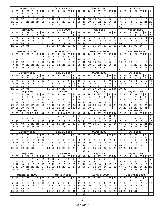| January 2006    |                |                     |                              |                      |                     | February 2006  |                  |                     |                |                               |                                   |                | <b>March 2006</b>       |                         |                |                   |                         |                | <b>April 2006</b>    |                         |                     |                   |                 |                              |                      |                   |                         |
|-----------------|----------------|---------------------|------------------------------|----------------------|---------------------|----------------|------------------|---------------------|----------------|-------------------------------|-----------------------------------|----------------|-------------------------|-------------------------|----------------|-------------------|-------------------------|----------------|----------------------|-------------------------|---------------------|-------------------|-----------------|------------------------------|----------------------|-------------------|-------------------------|
| s               | М              |                     | W                            | т                    | F                   | s              | s                | М                   | т              | W                             |                                   | Е              | s                       | s                       | М              | т                 | W                       | т              | F                    | s                       | s                   | М                 | т               | W                            | т                    | F                 | s                       |
| 1               | $\overline{2}$ | З                   | 4                            | 5                    | 6                   | 7              |                  |                     |                | 1                             | 2                                 | 3              | 4                       |                         |                |                   | $\mathbf{1}$            | $\mathbf{2}$   | 3                    | $\overline{4}$          |                     |                   |                 |                              |                      |                   | 1                       |
| 8<br>15         | 9<br>16        | 10<br>17            | 11<br>18                     | 12<br>19             | 13<br>20            | 14<br>21       | 5<br>12          | 6<br>13             | 7<br>14        | 8<br>15                       | 9<br>16                           | 10<br>17       | 11<br>18                | 5<br>12                 | 6<br>13        | 7<br>14           | 8<br>15                 | 9<br>16        | 10<br>17             | 11<br>18                | $\overline{2}$<br>9 | З<br>10           | 4<br>11         | 5<br>12                      | 6<br>13              | 7<br>14           | 8<br>15                 |
| 22              | 23             | 24                  | 25                           | 26                   | 27                  | 28             | 19               | 20                  | 21             | 22                            | 23                                | 24             | 25                      | 19                      | 20             | 21                | 22                      | 23             | 24                   | 25                      | 16                  | 17                | 18              | 19                           | 20                   | 21                | 22                      |
| 29              | 30             | 31                  |                              |                      |                     |                | 26               | $\overline{27}$     | 28             |                               |                                   |                |                         | 26                      | 27             | 28                | $\overline{29}$         | 30             | 31                   |                         | $\overline{23}$     | $\overline{24}$   | $\overline{25}$ | 26                           | 27                   | 28                | 29                      |
|                 |                |                     |                              |                      |                     |                |                  |                     |                |                               |                                   |                |                         |                         |                |                   |                         |                |                      |                         | 30                  |                   |                 |                              |                      |                   |                         |
|                 |                |                     | <b>May 2006</b>              |                      |                     |                |                  |                     |                | <b>June 2006</b>              |                                   |                |                         |                         |                |                   | <b>July 2006</b>        |                |                      |                         |                     |                   |                 | August 2006                  |                      |                   |                         |
| s               | М              | т                   | W                            | т                    | F                   | s              | s                | М                   | т              | W                             | т                                 | F              | s                       | s                       | М              | т                 | W                       | т              | F                    | s                       | s                   | М                 | т               | W                            | т                    | F                 | S                       |
|                 | 1              | $\mathbf{2}$        | 3                            | 4                    | 5                   | 6              |                  |                     |                |                               | 1                                 | $\overline{2}$ | З                       |                         |                |                   |                         |                |                      | $\mathbf{1}$            |                     |                   | 1               | $\overline{2}$               | 3                    | $\overline{4}$    | 5                       |
| 7<br>14         | 8<br>15        | 9<br>16             | 10<br>17                     | 11<br>18             | 12<br>19            | 13<br>20       | 4<br>11          | 5<br>12             | 6<br>13        | 7<br>14                       | 8<br>15                           | 9<br>16        | 10<br>17                | $\overline{2}$<br>9     | З<br>10        | 4<br>11           | 5<br>12                 | 6<br>13        | 7<br>14              | 8<br>15                 | 6<br>13             | 7<br>14           | 8<br>15         | 9<br>16                      | 10<br>17             | 11<br>18          | 12<br>19                |
| 21              | 22             | 23                  | 24                           | 25                   | 26                  | 27             | 18               | 19                  | 20             | 21                            | 22                                | 23             | 24                      | 16                      | 17             | 18                | 19                      | 20             | 21                   | 22                      | 20                  | 21                | 22              | 23                           | 24                   | 25                | 26                      |
| 28              | 29             | 30                  | 31                           |                      |                     |                | 25               | 26                  | 27             | 28                            | 29                                | 30             |                         | 23                      | 24             | 25                | 26                      | 27             | 28                   | 29                      | 27                  | 28                | 29              | 30                           | 31                   |                   |                         |
|                 |                |                     |                              |                      |                     |                |                  |                     |                |                               |                                   |                |                         | 30                      | 31             |                   |                         |                |                      |                         |                     |                   |                 |                              |                      |                   |                         |
|                 |                | September 2006      |                              |                      |                     |                |                  |                     | October 2006   |                               |                                   |                |                         |                         |                |                   | November 2006           |                |                      |                         |                     |                   |                 | December 2006                |                      |                   |                         |
| s               | М              | т                   | W                            | T                    | F                   | S              | s                | M                   | т              | W                             | т                                 | F              | $\mathbf{s}$            | S                       | М              | т                 | W                       | т              | F                    | S                       | S                   | М                 | т               | W                            | т                    | F                 | s                       |
|                 |                |                     |                              |                      | 1                   | $\overline{2}$ | 1                | $\overline{c}$      | 3              | 4                             | 5                                 | 6              | 7                       |                         |                |                   | 1                       | $\overline{2}$ | 3                    | 4                       |                     |                   |                 |                              |                      | 1                 | $\mathbf{2}$            |
| З<br>10         | 4<br>11        | 5<br>12             | 6<br>13                      | $\overline{7}$<br>14 | 8<br>15             | 9<br>16        | 8<br>15          | 9<br>16             | 10<br>17       | 11<br>18                      | 12<br>19                          | 13<br>20       | 14<br>21                | 5<br>12                 | 6<br>13        | 7<br>14           | 8<br>15                 | 9<br>16        | 10<br>17             | 11                      | 3<br>10             | 4<br>11           | 5<br>12         | 6<br>13                      | $\overline{7}$<br>14 | 8<br>15           | 9<br>16                 |
| 17              | 18             | 19                  | 20                           | 21                   | 22                  | 23             | 22               | 23                  | 24             | 25                            | 26                                | 27             | 28                      | 19                      | 20             | 21                | 22                      | 23             | 24                   | 18<br>25                | 17                  | 18                | 19              | 20                           | 21                   | 22                | 23                      |
| 24              | 25             | 26                  | 27                           | 28                   | 29                  | 30             | 29               | 30                  | 31             |                               |                                   |                |                         | 26                      | 27             | 28                | 29                      | 30             |                      |                         | 24                  | 25                | 26              | 27                           | 28                   | 29                | 30                      |
|                 |                |                     |                              |                      |                     |                |                  |                     |                |                               |                                   |                |                         |                         |                |                   |                         |                |                      |                         | 31                  |                   |                 |                              |                      |                   |                         |
|                 |                | January 2007        |                              |                      |                     |                |                  |                     | February 2007  |                               |                                   |                |                         |                         |                |                   | March 2007              |                |                      |                         |                     |                   |                 | April 2007                   |                      |                   |                         |
| s               | М              | т                   | W                            | т                    | F                   | S              | s                | M                   | т              | W                             | т                                 | F              | $\mathbf s$             | s                       | М              | т                 | W                       | т              | F                    | s                       | s                   | М                 | т               | W                            | т                    | F                 | S                       |
|                 | 1              | 2                   | З                            | $\overline{4}$       | 5                   | 6              |                  |                     |                |                               | 1                                 | 2              | З                       |                         |                |                   |                         | $\mathbf 1$    | $\overline{c}$       | 3                       | $\mathbf{1}$        | $\mathbf{2}$      | 3               | 4                            | 5                    | 6                 | 7                       |
| 7<br>14         | 8<br>15        | 9<br>16             | 10<br>17                     | 11<br>18             | 12<br>19            | 13<br>20       | 4<br>11          | 5<br>12             | 6<br>13        | $\overline{7}$<br>14          | 8<br>15                           | 9<br>16        | 10<br>17                | 4<br>11                 | 5<br>12        | 6<br>13           | $\overline{7}$<br>14    | 8<br>15        | 9<br>16              | 10<br>17                | 8<br>15             | 9<br>16           | 10<br>17        | 11<br>18                     | 12<br>19             | 13<br>20          | 14<br>21                |
| 21              | 22             | 23                  | 24                           | 25                   | 26                  | 27             | 18               | 19                  | 20             | 21                            | 22                                | 23             | 24                      | 18                      | 19             | 20                | 21                      | 22             | 23                   | 24                      | 22                  | 23                | 24              | 25                           | 26                   | 27                | 28                      |
| 28              | 29             | 30                  | 31                           |                      |                     |                | 25               | 26                  | 27             | 28                            |                                   |                |                         | 25                      | 26             | 27                | 28                      | 29             | 30                   | 31                      | 29                  | 30                |                 |                              |                      |                   |                         |
|                 |                |                     | <b>May 2007</b>              |                      |                     |                | <b>June 2007</b> |                     |                |                               |                                   |                |                         | <b>July 2007</b>        |                |                   |                         |                |                      | August 2007             |                     |                   |                 |                              |                      |                   |                         |
| s               | М              | т                   | W                            | т                    | F                   | s              | s                | М                   | т              | W                             | т                                 | Е              | $\mathbf{s}$            | s                       | М              | т                 | W                       | т              | Е                    | s                       | S                   | M                 | т               | W                            | т                    | F                 | S                       |
|                 |                | 1                   | 2                            | З                    | 4                   | 5              |                  |                     |                |                               |                                   | $\mathbf{1}$   | $\overline{2}$          | 1                       | $\overline{2}$ | 3                 | 4                       | 5              | 6                    | $\overline{7}$          |                     |                   |                 | 1                            | 2                    | 3                 | 4                       |
| 6<br>13         | 7<br>14        | 8<br>15             | 9<br>16                      | 10<br>17             | 11<br>18            | 12<br>19       | 3<br>10          | 4<br>11             | 5<br>12        | 6<br>13                       | 7<br>14                           | 8<br>15        | 9<br>16                 | 8<br>15                 | 9<br>16        | 10<br>17          | 11<br>18                | 12<br>19       | 13<br>20             | 14<br>21                | 5<br>12             | 6<br>13           | 7<br>14         | 8<br>15                      | 9<br>16              | 10<br>17          | 11<br>18                |
| 20              | 21             | 22                  | 23                           | 24                   | 25                  | 26             | 17               | 18                  | 19             | 20                            | 21                                | 22             | 23                      | 22                      | 23             | 24                | 25                      | 26             | 27                   | 28                      | 19                  | 20                | 21              | 22                           | 23                   | 24                | 25                      |
| 27              | 28             | 29                  | 30                           | 31                   |                     |                | 24               | 25                  | 26             | 27                            | 28                                | 29             | 30                      | 29                      | 30             | 31                |                         |                |                      |                         | 26                  | 27                | 28              | 29                           | 30                   | 31                |                         |
|                 |                | September 2007      |                              |                      |                     |                |                  |                     | October 2007   |                               |                                   |                |                         | November 2007           |                |                   |                         |                |                      |                         | December 2007       |                   |                 |                              |                      |                   |                         |
| s               | М              | т                   | W                            | т                    | F                   | s              | s                | M                   | т              | w                             | т                                 | F              | s                       | s                       | М              | т                 | W                       | т              | F                    | s                       | s                   | М                 | т               | W                            | т                    | F                 | $\overline{\mathbf{s}}$ |
|                 |                |                     |                              |                      |                     | 1              |                  | $\mathbf{1}$        | $\overline{2}$ | З                             | 4                                 | 5              | 6                       |                         |                |                   |                         | $\mathbf{1}$   | $\overline{2}$       | 3                       |                     |                   |                 |                              |                      |                   | 1                       |
| 2               | 3              | 4                   | 5                            | 6                    | 7                   | 8              | $\overline{7}$   | 8                   | 9              | 10                            | 11                                | 12             | 13                      | 4                       | 5              | 6                 | 7                       | 8              | 9                    | 10                      | $\overline{c}$      | З                 | $\overline{4}$  | 5                            | 6                    | 7                 | 8                       |
| 9<br>16         | 10<br>17       | 11<br>18            | 12<br>19                     | 13<br>20             | 14<br>21            | 15<br>22       | 14<br>21         | 15<br>22            | 16<br>23       | 17<br>24                      | 18<br>25                          | 19<br>26       | 20<br>27                | 11<br>18                | 12<br>19       | 13<br>20          | 14<br>21                | 15<br>22       | 16<br>23             | 17<br>24                | 9<br>16             | 10<br>17          | 11<br>18        | 12<br>19                     | 13<br>20             | 14<br>21          | 15<br>22                |
| 23              | 24             | 25                  | 26                           | 27                   | 28                  | 29             | 28               | 29                  | 30             | 31                            |                                   |                |                         | 25                      | 26             | 27                | 28                      | 29             | 30                   |                         | 23                  | 24                | 25              | 26                           | 27                   | 28                | 29                      |
| 30              |                |                     |                              |                      |                     |                |                  |                     |                |                               |                                   |                |                         |                         |                |                   |                         |                |                      |                         | 30 31               |                   |                 |                              |                      |                   |                         |
|                 |                | January 2008        |                              |                      |                     |                | February 2008    |                     |                |                               |                                   |                |                         |                         |                | <b>March 2008</b> |                         |                |                      | <b>April 2008</b>       |                     |                   |                 |                              |                      |                   |                         |
| s l             | М              | т                   | W                            | т                    | F.                  | S              | s                | М                   | т              | W                             | т                                 | F              | S                       | S                       | М              | т                 | W                       | т              | F                    | S                       | S                   | М                 | т               | W                            | т                    | Е                 | s                       |
|                 |                | 1                   | 2                            | З                    | 4                   | 5              |                  |                     |                |                               |                                   | 1              | $\overline{2}$          |                         |                |                   |                         |                |                      | $\mathbf{1}$            |                     |                   | 1               | $\overline{c}$               | З                    | 4                 | 5                       |
| 6<br>13         | 7<br>14        | 8<br>15             | 9<br>16                      | 10<br>17             | 11<br>18            | 12<br>19       | 3<br>10          | 4<br>11             | 5<br>12        | 6<br>13                       | $\overline{7}$<br>$\overline{14}$ | 8<br>15        | 9<br>16                 | $\overline{c}$<br>9     | 3<br>10        | 4<br>11           | 5<br>12                 | 6<br>13        | $\overline{7}$<br>14 | 8<br>15                 | 6<br>13 14          | 7                 | 8<br>15         | 9<br>16                      | 10<br>17             | 11<br>18          | 12<br>19                |
| 20 <sub>1</sub> | 21             | 22                  | 23                           | 24                   | 25                  | 26             | 17               | 18                  | 19             | 20                            | 21                                | 22             | 23                      | 16                      | 17             | 18                | 19                      | 20             | 21                   | $\overline{22}$         | 20                  | 21                | 22              | 23                           | 24                   | 25                | 26                      |
| 27              | 28             | 29                  | 30                           | 31                   |                     |                | 24               | 25                  | 26             | 27                            | 28                                | 29             |                         | 23                      | 24             | 25                | 26                      | 27             | 28                   | 29                      | 27                  | 28                | 29              | 30                           |                      |                   |                         |
|                 |                |                     |                              |                      |                     |                |                  |                     |                |                               |                                   |                |                         | 30                      | 31             |                   |                         |                |                      |                         |                     |                   |                 |                              |                      |                   |                         |
|                 |                |                     | <b>May 2008</b>              |                      |                     |                |                  |                     |                | <b>June 2008</b>              |                                   |                |                         | <b>July 2008</b>        |                |                   |                         |                |                      |                         | August 2008         |                   |                 |                              |                      |                   |                         |
| S.              | М              | т                   | W                            | т                    | F                   | s              | S                | М                   | т              | $\overline{\mathsf{w}}$       | т                                 | F.             | $\overline{\mathbf{s}}$ | S                       | М              | т                 | $\overline{\mathsf{w}}$ | т              | F.                   | $\overline{\mathbf{s}}$ | S                   | М                 | т               | W                            | т                    | Е                 | $\overline{\mathbf{s}}$ |
| 4               | 5              | 6                   | 7                            | 1<br>8               | $\overline{2}$<br>9 | 3<br>10        | 1<br>8           | $\overline{c}$<br>9 | 3<br>10        | 4<br>11                       | 5<br>12                           | 6<br>13        | $\overline{7}$<br>14    | 6                       | 7              | 1<br>8            | $\overline{c}$<br>9     | 3<br>10        | 4<br>11              | 5<br>12                 | 3                   | 4                 | 5               | 6                            | 7                    | $\mathbf{1}$<br>8 | 2<br>9                  |
| 11              | 12             | 13                  | 14                           | 15                   | 16                  | 17             | 15               | 16                  | 17             | 18                            | 19                                | 20             | 21                      | 13                      | 14             | 15                | 16                      | 17             | 18                   | 19                      | 10                  | 11                | 12              | 13                           | 14                   | 15                | 16                      |
| 18 <sup>1</sup> | 19             | 20                  | 21                           | 22                   | 23                  | 24             | 22               | 23                  | 24             | 25                            | 26                                | 27             | 28                      | 20                      | 21             | 22                | 23                      | 24             | 25                   | 26                      | 17                  | 18                | 19              | 20                           | 21                   | 22                | 23                      |
| 25              | 26             | 27                  | 28                           | 29                   | 30                  | 31             | 29               | 30                  |                |                               |                                   |                |                         | 27                      | 28             | 29                | 30                      | 31             |                      |                         | 24                  | 25                | 26              | 27                           | 28                   | 29                | 30                      |
|                 |                |                     |                              |                      |                     |                |                  |                     |                |                               |                                   |                |                         |                         |                |                   |                         |                |                      |                         | 31                  |                   |                 |                              |                      |                   |                         |
|                 |                | September 2008      |                              |                      |                     |                |                  |                     | October 2008   |                               |                                   |                |                         |                         |                |                   | November 2008           |                |                      |                         |                     |                   |                 | December 2008                |                      |                   |                         |
| s               | М<br>1.        | т<br>$\overline{c}$ | $\overline{\mathsf{w}}$<br>З | т<br>4               | F<br>5              | s<br>6         | s                | М                   | т              | $\overline{\mathsf{w}}$<br>1. | т<br>2                            | E<br>3         | $\mathbf{s}$<br>4       | $\overline{\mathbf{s}}$ | М              | т                 | $\overline{\mathsf{w}}$ | т              | F                    | s<br>1                  | s                   | М<br>$\mathbf{1}$ | т<br>2          | $\overline{\mathsf{w}}$<br>3 | т<br>4               | F<br>5            | s<br>6                  |
| 7               | 8              | 9                   | 10                           | 11                   | 12                  | 13             | 5                | 6                   | 7              | 8                             | 9                                 | 10             | 11                      | 2                       | З              | 4                 | 5                       | 6              | 7                    | 8                       | 7                   | 8                 | 9               | 10                           | 11                   | 12                | 13                      |
| 14              | 15             | 16                  | 17                           | 18                   | 19                  | 20             | 12               | 13                  | 14             | 15                            | 16                                | 17             | 18                      | 9                       | 10             | 11                | 12                      | 13             | 14                   | 15                      | 14                  | 15                | 16              | 17                           | 18                   | 19                | 20                      |
| 21              | 22             | 23                  | 24                           | 25                   | 26                  | 27             | 19               | 20                  | 21             | 22                            | 23                                | 24             | 25                      | 16                      | 17             | 18                | 19                      | 20             | 21                   | 22                      | 21                  | 22                | 23              | 24                           | 25                   | 26                | 27                      |
| 28              | 29             | 30                  |                              |                      |                     |                | 26               | 27                  | 28             | 29                            | 30                                | 31             |                         | 23                      | 24             | 25                | 26                      | 27             | 28                   | 29                      | 28                  | 29                | 30              | 31                           |                      |                   |                         |
|                 |                |                     |                              |                      |                     |                |                  |                     |                |                               |                                   |                |                         | $\overline{30}$         |                |                   |                         |                |                      |                         |                     |                   |                 |                              |                      |                   |                         |